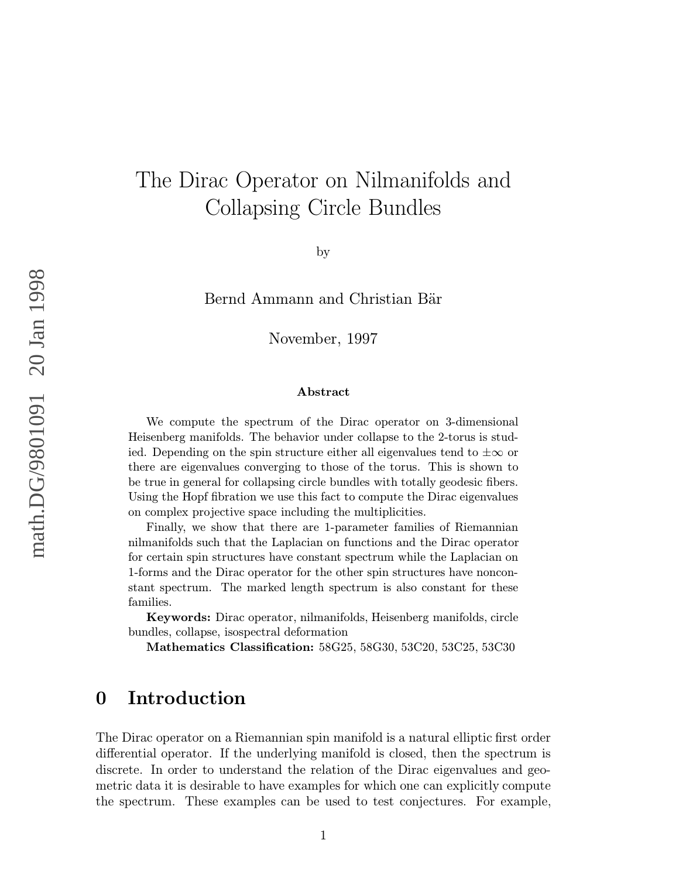# The Dirac Operator on Nilmanifolds and Collapsing Circle Bundles

by

Bernd Ammann and Christian Bär

November, 1997

#### Abstract

We compute the spectrum of the Dirac operator on 3-dimensional Heisenberg manifolds. The behavior under collapse to the 2-torus is studied. Depending on the spin structure either all eigenvalues tend to  $\pm \infty$  or there are eigenvalues converging to those of the torus. This is shown to be true in general for collapsing circle bundles with totally geodesic fibers. Using the Hopf fibration we use this fact to compute the Dirac eigenvalues on complex projective space including the multiplicities.

Finally, we show that there are 1-parameter families of Riemannian nilmanifolds such that the Laplacian on functions and the Dirac operator for certain spin structures have constant spectrum while the Laplacian on 1-forms and the Dirac operator for the other spin structures have nonconstant spectrum. The marked length spectrum is also constant for these families.

Keywords: Dirac operator, nilmanifolds, Heisenberg manifolds, circle bundles, collapse, isospectral deformation

Mathematics Classification: 58G25, 58G30, 53C20, 53C25, 53C30

### 0 Introduction

The Dirac operator on a Riemannian spin manifold is a natural elliptic first order differential operator. If the underlying manifold is closed, then the spectrum is discrete. In order to understand the relation of the Dirac eigenvalues and geometric data it is desirable to have examples for which one can explicitly compute the spectrum. These examples can be used to test conjectures. For example,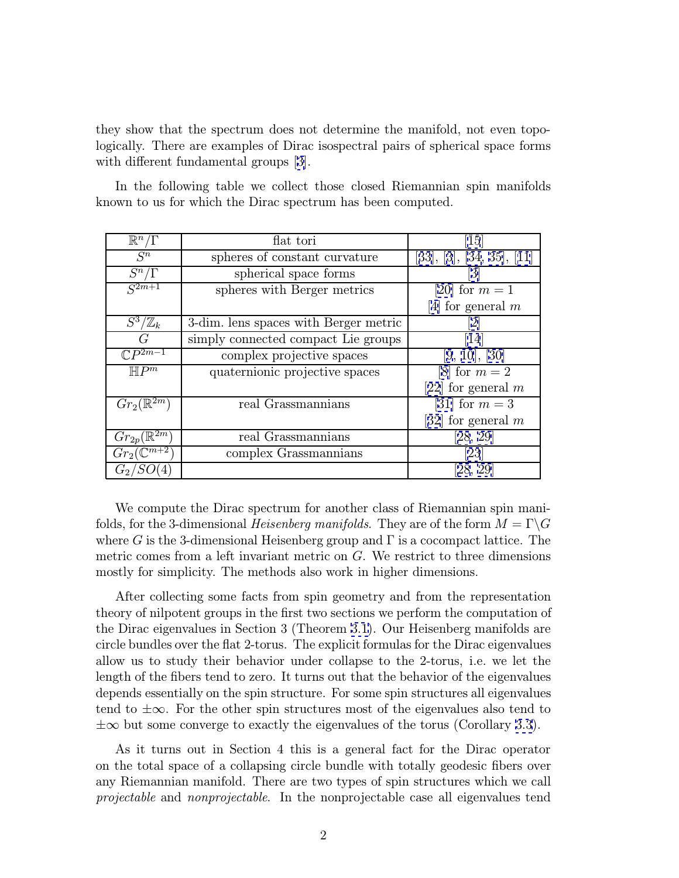they show that the spectrum does not determine the manifold, not even topologically. There are examples of Dirac isospectral pairs of spherical space forms with different fundamental groups  $|3|$ .

In the following table we collect those closed Riemannian spin manifolds known to us for which the Dirac spectrum has been computed.

| $\mathbb{R}^n/\Gamma$      | flat tori                             | $\left 15\right\rangle$   |
|----------------------------|---------------------------------------|---------------------------|
| $S^n$                      | spheres of constant curvature         | [33], [3], [34, 35], [11] |
| $S^n/\Gamma$               | spherical space forms                 | $\lceil 3 \rceil$         |
| $S^{2m+1}$                 | spheres with Berger metrics           | [20] for $m = 1$          |
|                            |                                       | [4] for general $m$       |
| $S^3/\mathbb{Z}_k$         | 3-dim. lens spaces with Berger metric |                           |
| G                          | simply connected compact Lie groups   | 14                        |
| $\mathbb{C}P^{2m-1}$       | complex projective spaces             | [9, 10], [30]             |
| $\overline{\mathbb{H}P^m}$ | quaternionic projective spaces        | [8] for $m=2$             |
|                            |                                       | [22] for general $m$      |
| $Gr_2(\mathbb{R}^{2m})$    | real Grassmannians                    | [31] for $m = 3$          |
|                            |                                       | [32] for general $m$      |
| $Gr_{2p}(\mathbb{R}^{2m})$ | real Grassmannians                    | [28, 29]                  |
| $Gr_2(\mathbb{C}^{m+2})$   | complex Grassmannians                 | 23                        |
| $G_2/$                     |                                       | [28, 29]                  |

We compute the Dirac spectrum for another class of Riemannian spin manifolds, for the 3-dimensional *Heisenberg manifolds*. They are of the form  $M = \Gamma \backslash G$ where G is the 3-dimensional Heisenberg group and  $\Gamma$  is a cocompact lattice. The metric comes from a left invariant metric on G. We restrict to three dimensions mostly for simplicity. The methods also work in higher dimensions.

After collecting some facts from spin geometry and from the representation theory of nilpotent groups in the first two sections we perform the computation of the Dirac eigenvalues in Section 3 (Theorem [3.1\)](#page-14-0). Our Heisenberg manifolds are circle bundles over the flat 2-torus. The explicit formulas for the Dirac eigenvalues allow us to study their behavior under collapse to the 2-torus, i.e. we let the length of the fibers tend to zero. It turns out that the behavior of the eigenvalues depends essentially on the spin structure. For some spin structures all eigenvalues tend to  $\pm\infty$ . For the other spin structures most of the eigenvalues also tend to  $\pm\infty$  but some converge to exactly the eigenvalues of the torus (Corollary [3.3](#page-15-0)).

As it turns out in Section 4 this is a general fact for the Dirac operator on the total space of a collapsing circle bundle with totally geodesic fibers over any Riemannian manifold. There are two types of spin structures which we call projectable and nonprojectable. In the nonprojectable case all eigenvalues tend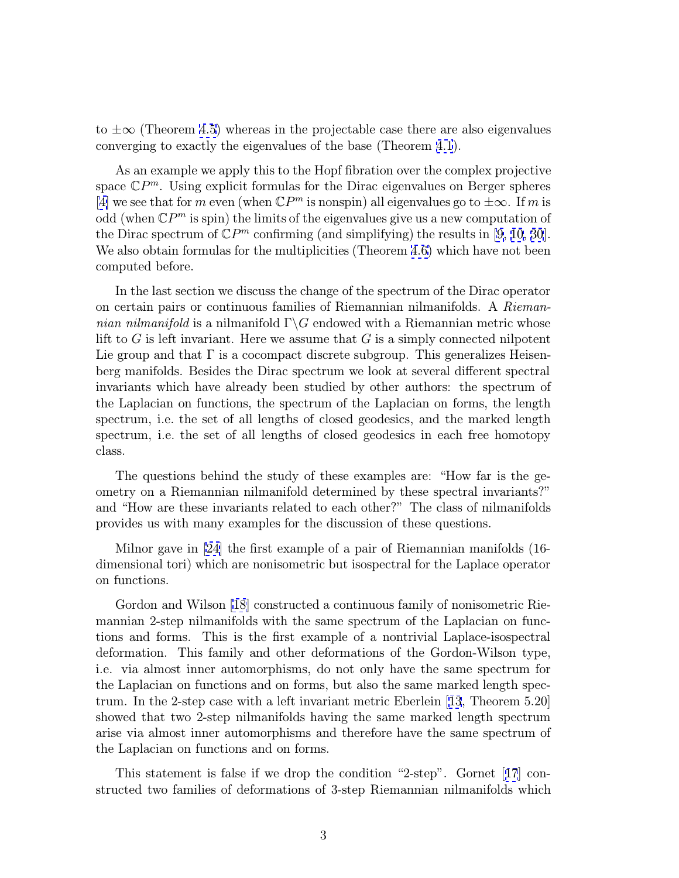to  $\pm\infty$  (Theorem [4.5\)](#page-22-0) whereas in the projectable case there are also eigenvalues converging to exactly the eigenvalues of the base (Theorem [4.1](#page-16-0)).

As an example we apply this to the Hopf fibration over the complex projective space  $\mathbb{C}P^m$ . Using explicit formulas for the Dirac eigenvalues on Berger spheres [[4\]](#page-33-0) we see that for m even (when  $\mathbb{C}P^m$  is nonspin) all eigenvalues go to  $\pm \infty$ . If m is odd (when  $\mathbb{C}P^m$  is spin) the limits of the eigenvalues give us a new computation of the Dirac spectrum of  $\mathbb{C}P^m$  confirming (and simplifying) the results in [\[9](#page-33-0), [10](#page-33-0), [30](#page-34-0)]. We also obtain formulas for the multiplicities (Theorem [4.6\)](#page-23-0) which have not been computed before.

In the last section we discuss the change of the spectrum of the Dirac operator on certain pairs or continuous families of Riemannian nilmanifolds. A Riemannian nilmanifold is a nilmanifold  $\Gamma \backslash G$  endowed with a Riemannian metric whose lift to  $G$  is left invariant. Here we assume that  $G$  is a simply connected nilpotent Lie group and that  $\Gamma$  is a cocompact discrete subgroup. This generalizes Heisenberg manifolds. Besides the Dirac spectrum we look at several different spectral invariants which have already been studied by other authors: the spectrum of the Laplacian on functions, the spectrum of the Laplacian on forms, the length spectrum, i.e. the set of all lengths of closed geodesics, and the marked length spectrum, i.e. the set of all lengths of closed geodesics in each free homotopy class.

The questions behind the study of these examples are: "How far is the geometry on a Riemannian nilmanifold determined by these spectral invariants?" and "How are these invariants related to each other?" The class of nilmanifolds provides us with many examples for the discussion of these questions.

Milnor gave in [\[24\]](#page-34-0) the first example of a pair of Riemannian manifolds (16 dimensional tori) which are nonisometric but isospectral for the Laplace operator on functions.

Gordon and Wilson [\[18](#page-33-0)] constructed a continuous family of nonisometric Riemannian 2-step nilmanifolds with the same spectrum of the Laplacian on functions and forms. This is the first example of a nontrivial Laplace-isospectral deformation. This family and other deformations of the Gordon-Wilson type, i.e. via almost inner automorphisms, do not only have the same spectrum for the Laplacian on functions and on forms, but also the same marked length spectrum. In the 2-step case with a left invariant metric Eberlein [[13](#page-33-0), Theorem 5.20] showed that two 2-step nilmanifolds having the same marked length spectrum arise via almost inner automorphisms and therefore have the same spectrum of the Laplacian on functions and on forms.

This statement is false if we drop the condition "2-step". Gornet [[17](#page-33-0)] constructed two families of deformations of 3-step Riemannian nilmanifolds which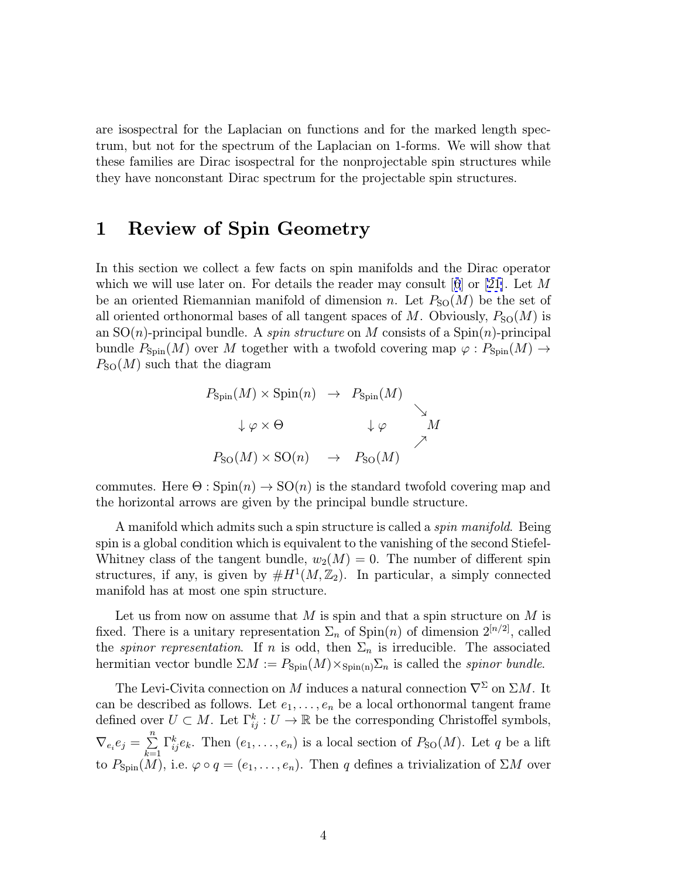are isospectral for the Laplacian on functions and for the marked length spectrum, but not for the spectrum of the Laplacian on 1-forms. We will show that these families are Dirac isospectral for the nonprojectable spin structures while they have nonconstant Dirac spectrum for the projectable spin structures.

# 1 Review of Spin Geometry

In this section we collect a few facts on spin manifolds and the Dirac operator which we will use later on. For details the reader may consult  $|6|$  $|6|$  $|6|$  or [\[21\]](#page-34-0). Let M be an oriented Riemannian manifold of dimension n. Let  $P_{\text{SO}}(M)$  be the set of all oriented orthonormal bases of all tangent spaces of M. Obviously,  $P_{\rm SO}(M)$  is an  $SO(n)$ -principal bundle. A *spin structure* on M consists of a  $Spin(n)$ -principal bundle  $P_{\text{Spin}}(M)$  over M together with a twofold covering map  $\varphi : P_{\text{Spin}}(M) \rightarrow$  $P_{\rm SO}(M)$  such that the diagram



commutes. Here  $\Theta$ : Spin $(n) \to SO(n)$  is the standard twofold covering map and the horizontal arrows are given by the principal bundle structure.

A manifold which admits such a spin structure is called a *spin manifold*. Being spin is a global condition which is equivalent to the vanishing of the second Stiefel-Whitney class of the tangent bundle,  $w_2(M) = 0$ . The number of different spin structures, if any, is given by  $#H<sup>1</sup>(M, \mathbb{Z}<sub>2</sub>)$ . In particular, a simply connected manifold has at most one spin structure.

Let us from now on assume that  $M$  is spin and that a spin structure on  $M$  is fixed. There is a unitary representation  $\Sigma_n$  of  $\text{Spin}(n)$  of dimension  $2^{[n/2]}$ , called the *spinor representation*. If n is odd, then  $\Sigma_n$  is irreducible. The associated hermitian vector bundle  $\Sigma M := P_{\text{Spin}}(M) \times_{\text{Spin}(n)} \Sigma_n$  is called the *spinor bundle*.

The Levi-Civita connection on M induces a natural connection  $\nabla^{\Sigma}$  on  $\Sigma M$ . It can be described as follows. Let  $e_1, \ldots, e_n$  be a local orthonormal tangent frame defined over  $U \subset M$ . Let  $\Gamma_{ij}^k : U \to \mathbb{R}$  be the corresponding Christoffel symbols,  $\nabla_{e_i} e_j = \sum_{k=1}^n$  $\Gamma_{ij}^k e_k$ . Then  $(e_1, \ldots, e_n)$  is a local section of  $P_{SO}(M)$ . Let q be a lift to  $P_{\text{Spin}}(M)$ , i.e.  $\varphi \circ q = (e_1, \ldots, e_n)$ . Then q defines a trivialization of  $\Sigma M$  over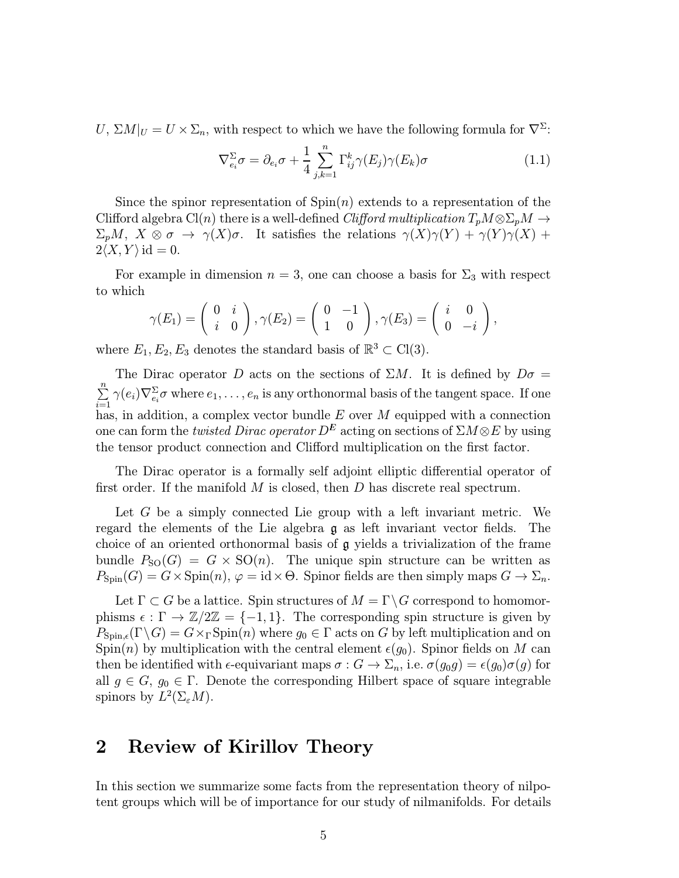<span id="page-4-0"></span> $U, \Sigma M|_U = U \times \Sigma_n$ , with respect to which we have the following formula for  $\nabla^{\Sigma}$ :

$$
\nabla_{e_i}^{\Sigma} \sigma = \partial_{e_i} \sigma + \frac{1}{4} \sum_{j,k=1}^n \Gamma_{ij}^k \gamma(E_j) \gamma(E_k) \sigma \qquad (1.1)
$$

Since the spinor representation of  $Spin(n)$  extends to a representation of the Clifford algebra Cl(n) there is a well-defined Clifford multiplication  $T_pM\otimes \Sigma_pM\to$  $\Sigma_p M$ ,  $X \otimes \sigma \to \gamma(X)\sigma$ . It satisfies the relations  $\gamma(X)\gamma(Y) + \gamma(Y)\gamma(X)$  +  $2\langle X, Y \rangle$  id = 0.

For example in dimension  $n = 3$ , one can choose a basis for  $\Sigma_3$  with respect to which

$$
\gamma(E_1)=\left(\begin{array}{cc}0&i\\i&0\end{array}\right),\gamma(E_2)=\left(\begin{array}{cc}0&-1\\1&0\end{array}\right),\gamma(E_3)=\left(\begin{array}{cc}i&0\\0&-i\end{array}\right),
$$

where  $E_1, E_2, E_3$  denotes the standard basis of  $\mathbb{R}^3 \subset Cl(3)$ .

The Dirac operator D acts on the sections of  $\Sigma M$ . It is defined by  $D\sigma =$  $\sum_{n=1}^{\infty}$  $\sum_{i=1}^n \gamma(e_i) \nabla_{e_i}^{\Sigma} \sigma$  where  $e_1,\ldots,e_n$  is any orthonormal basis of the tangent space. If one has, in addition, a complex vector bundle  $E$  over  $M$  equipped with a connection one can form the *twisted Dirac operator*  $D^E$  acting on sections of  $\Sigma M \otimes E$  by using the tensor product connection and Clifford multiplication on the first factor.

The Dirac operator is a formally self adjoint elliptic differential operator of first order. If the manifold  $M$  is closed, then  $D$  has discrete real spectrum.

Let G be a simply connected Lie group with a left invariant metric. We regard the elements of the Lie algebra g as left invariant vector fields. The choice of an oriented orthonormal basis of g yields a trivialization of the frame bundle  $P_{\text{SO}}(G) = G \times \text{SO}(n)$ . The unique spin structure can be written as  $P_{\text{Spin}}(G) = G \times \text{Spin}(n), \varphi = \text{id} \times \Theta$ . Spinor fields are then simply maps  $G \to \Sigma_n$ .

Let  $\Gamma \subset G$  be a lattice. Spin structures of  $M = \Gamma \backslash G$  correspond to homomorphisms  $\epsilon : \Gamma \to \mathbb{Z}/2\mathbb{Z} = \{-1,1\}$ . The corresponding spin structure is given by  $P_{\text{Spin},\epsilon}(\Gamma \backslash G) = G \times_{\Gamma} \text{Spin}(n)$  where  $g_0 \in \Gamma$  acts on G by left multiplication and on Spin(n) by multiplication with the central element  $\epsilon(g_0)$ . Spinor fields on M can then be identified with  $\epsilon$ -equivariant maps  $\sigma : G \to \Sigma_n$ , i.e.  $\sigma(g_0g) = \epsilon(g_0)\sigma(g)$  for all  $g \in G$ ,  $g_0 \in \Gamma$ . Denote the corresponding Hilbert space of square integrable spinors by  $L^2(\Sigma_{\varepsilon}M)$ .

### 2 Review of Kirillov Theory

In this section we summarize some facts from the representation theory of nilpotent groups which will be of importance for our study of nilmanifolds. For details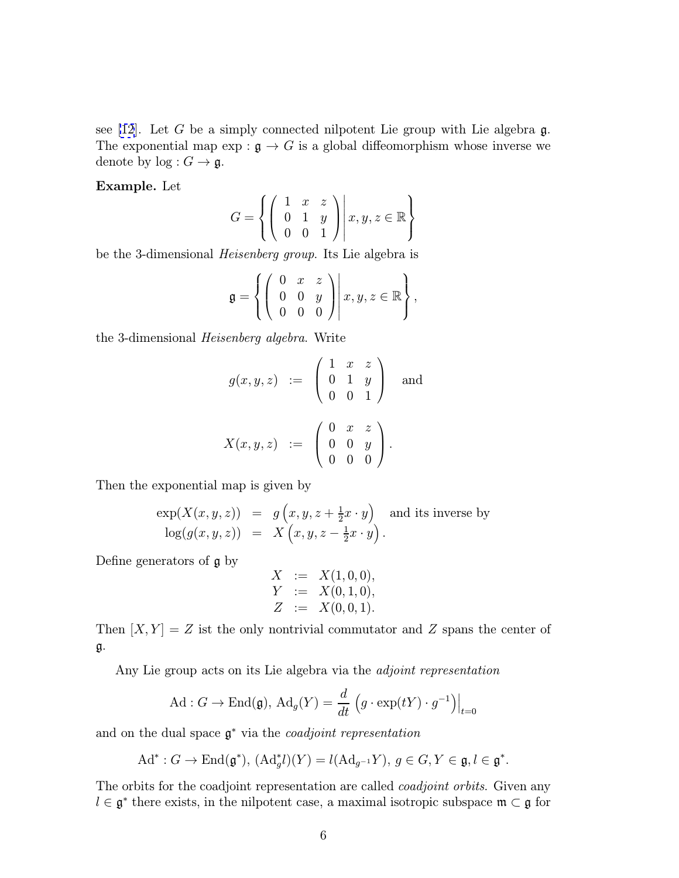see [\[12](#page-33-0)]. Let G be a simply connected nilpotent Lie group with Lie algebra  $\mathfrak{g}$ . The exponential map  $\exp : \mathfrak{g} \to G$  is a global diffeomorphism whose inverse we denote by  $log: G \rightarrow \mathfrak{g}$ .

Example. Let

$$
G = \left\{ \left( \begin{array}{ccc} 1 & x & z \\ 0 & 1 & y \\ 0 & 0 & 1 \end{array} \right) \middle| \ x, y, z \in \mathbb{R} \right\}
$$

be the 3-dimensional Heisenberg group. Its Lie algebra is

$$
\mathfrak{g} = \left\{ \left( \begin{array}{ccc} 0 & x & z \\ 0 & 0 & y \\ 0 & 0 & 0 \end{array} \right) \middle| \ x, y, z \in \mathbb{R} \right\},\
$$

the 3-dimensional Heisenberg algebra. Write

$$
g(x, y, z) := \begin{pmatrix} 1 & x & z \\ 0 & 1 & y \\ 0 & 0 & 1 \end{pmatrix} \text{ and}
$$

$$
X(x, y, z) := \begin{pmatrix} 0 & x & z \\ 0 & 0 & y \\ 0 & 0 & 0 \end{pmatrix}.
$$

Then the exponential map is given by

$$
\exp(X(x, y, z)) = g(x, y, z + \frac{1}{2}x \cdot y) \text{ and its inverse by} \n\log(g(x, y, z)) = X(x, y, z - \frac{1}{2}x \cdot y).
$$

Define generators of g by

$$
X := X(1,0,0),
$$
  
\n
$$
Y := X(0,1,0),
$$
  
\n
$$
Z := X(0,0,1).
$$

Then  $[X, Y] = Z$  ist the only nontrivial commutator and Z spans the center of g.

Any Lie group acts on its Lie algebra via the *adjoint representation* 

$$
\mathrm{Ad}: G \to \mathrm{End}(\mathfrak{g}), \, \mathrm{Ad}_g(Y) = \frac{d}{dt} \left( g \cdot \exp(tY) \cdot g^{-1} \right) \Big|_{t=0}
$$

and on the dual space  $\mathfrak{g}^*$  via the *coadjoint representation* 

$$
Ad^*: G \to \text{End}(\mathfrak{g}^*), (Ad^*_g l)(Y) = l(Ad_{g^{-1}}Y), g \in G, Y \in \mathfrak{g}, l \in \mathfrak{g}^*.
$$

The orbits for the coadjoint representation are called *coadjoint orbits*. Given any  $l \in \mathfrak{g}^*$  there exists, in the nilpotent case, a maximal isotropic subspace  $\mathfrak{m} \subset \mathfrak{g}$  for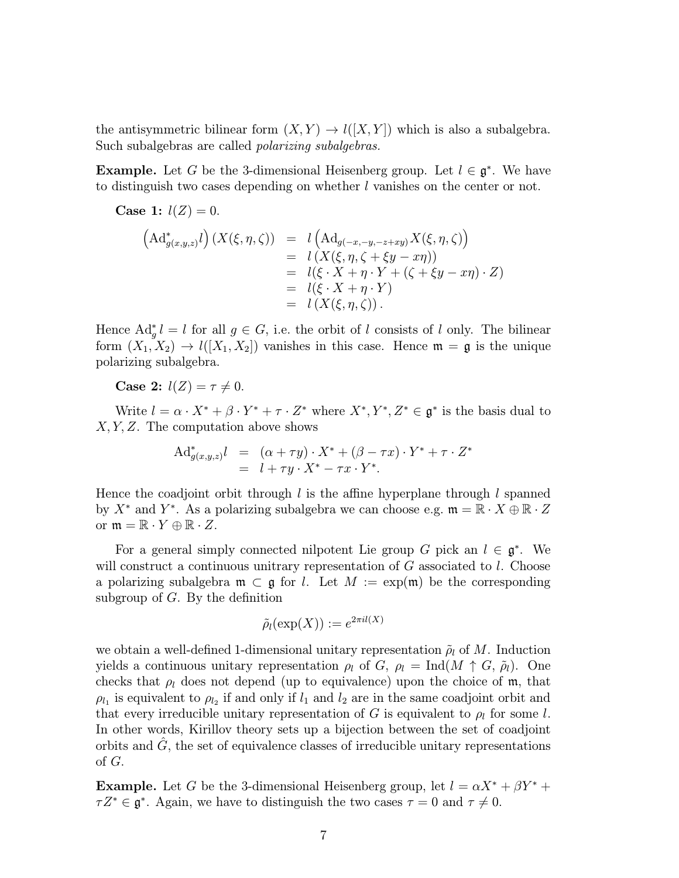the antisymmetric bilinear form  $(X, Y) \to l([X, Y])$  which is also a subalgebra. Such subalgebras are called polarizing subalgebras.

**Example.** Let G be the 3-dimensional Heisenberg group. Let  $l \in \mathfrak{g}^*$ . We have to distinguish two cases depending on whether l vanishes on the center or not.

**Case 1:**  $l(Z) = 0$ .

$$
\begin{array}{rcl}\n\left(\mathrm{Ad}^*_{g(x,y,z)}l\right)(X(\xi,\eta,\zeta)) & = & l\left(\mathrm{Ad}_{g(-x,-y,-z+xy)}X(\xi,\eta,\zeta)\right) \\
& = & l\left(X(\xi,\eta,\zeta+\xi y-x\eta)\right) \\
& = & l(\xi \cdot X+\eta \cdot Y+(\zeta+\xi y-x\eta) \cdot Z) \\
& = & l(\xi \cdot X+\eta \cdot Y) \\
& = & l\left(X(\xi,\eta,\zeta)\right).\n\end{array}
$$

Hence  $\mathrm{Ad}_{g}^{*} l = l$  for all  $g \in G$ , i.e. the orbit of l consists of l only. The bilinear form  $(X_1, X_2) \to l([X_1, X_2])$  vanishes in this case. Hence  $\mathfrak{m} = \mathfrak{g}$  is the unique polarizing subalgebra.

Case 2:  $l(Z) = \tau \neq 0$ .

Write  $l = \alpha \cdot X^* + \beta \cdot Y^* + \tau \cdot Z^*$  where  $X^*, Y^*, Z^* \in \mathfrak{g}^*$  is the basis dual to X, Y, Z. The computation above shows

$$
\begin{array}{rcl}\n\mathrm{Ad}^*_{g(x,y,z)}l &=& (\alpha + \tau y) \cdot X^* + (\beta - \tau x) \cdot Y^* + \tau \cdot Z^* \\
&=& l + \tau y \cdot X^* - \tau x \cdot Y^*.\n\end{array}
$$

Hence the coadjoint orbit through  $l$  is the affine hyperplane through  $l$  spanned by  $X^*$  and  $Y^*$ . As a polarizing subalgebra we can choose e.g.  $\mathfrak{m} = \mathbb{R} \cdot X \oplus \mathbb{R} \cdot Z$ or  $\mathfrak{m} = \mathbb{R} \cdot Y \oplus \mathbb{R} \cdot Z$ .

For a general simply connected nilpotent Lie group G pick an  $l \in \mathfrak{g}^*$ . We will construct a continuous unitrary representation of  $G$  associated to  $l$ . Choose a polarizing subalgebra  $\mathfrak{m} \subset \mathfrak{g}$  for l. Let  $M := \exp(\mathfrak{m})$  be the corresponding subgroup of  $G$ . By the definition

$$
\tilde{\rho}_l(\exp(X)):=e^{2\pi il(X)}
$$

we obtain a well-defined 1-dimensional unitary representation  $\tilde{\rho}_l$  of M. Induction yields a continuous unitary representation  $\rho_l$  of G,  $\rho_l = \text{Ind}(M \uparrow G, \tilde{\rho}_l)$ . One checks that  $\rho_l$  does not depend (up to equivalence) upon the choice of m, that  $\rho_{l_1}$  is equivalent to  $\rho_{l_2}$  if and only if  $l_1$  and  $l_2$  are in the same coadjoint orbit and that every irreducible unitary representation of G is equivalent to  $\rho_l$  for some l. In other words, Kirillov theory sets up a bijection between the set of coadjoint orbits and  $\tilde{G}$ , the set of equivalence classes of irreducible unitary representations of G.

**Example.** Let G be the 3-dimensional Heisenberg group, let  $l = \alpha X^* + \beta Y^* +$  $\tau Z^* \in \mathfrak{g}^*$ . Again, we have to distinguish the two cases  $\tau = 0$  and  $\tau \neq 0$ .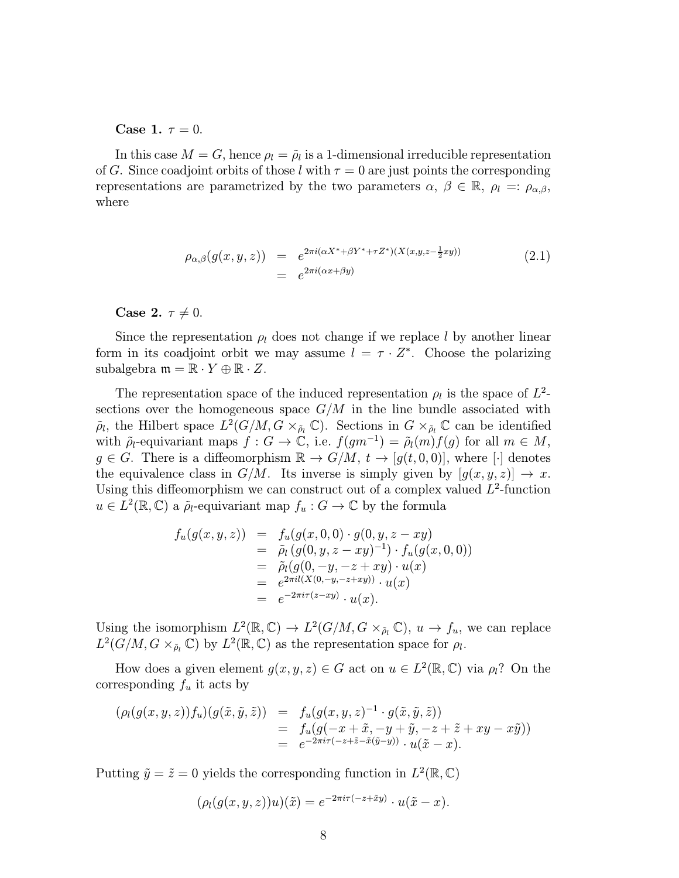<span id="page-7-0"></span>Case 1.  $\tau = 0$ .

In this case  $M = G$ , hence  $\rho_l = \tilde{\rho}_l$  is a 1-dimensional irreducible representation of G. Since coadjoint orbits of those l with  $\tau = 0$  are just points the corresponding representations are parametrized by the two parameters  $\alpha, \beta \in \mathbb{R}, \rho_l =: \rho_{\alpha,\beta}$ , where

$$
\rho_{\alpha,\beta}(g(x,y,z)) = e^{2\pi i (\alpha X^* + \beta Y^* + \tau Z^*)(X(x,y,z-\frac{1}{2}xy))}
$$
\n
$$
= e^{2\pi i (\alpha x + \beta y)}
$$
\n(2.1)

Case 2.  $\tau \neq 0$ .

Since the representation  $\rho_l$  does not change if we replace l by another linear form in its coadjoint orbit we may assume  $l = \tau \cdot Z^*$ . Choose the polarizing subalgebra  $\mathfrak{m} = \mathbb{R} \cdot Y \oplus \mathbb{R} \cdot Z$ .

The representation space of the induced representation  $\rho_l$  is the space of  $L^2$ sections over the homogeneous space  $G/M$  in the line bundle associated with  $\tilde{\rho}_l$ , the Hilbert space  $L^2(G/M, G \times_{\tilde{\rho}_l} \mathbb{C})$ . Sections in  $G \times_{\tilde{\rho}_l} \mathbb{C}$  can be identified with  $\tilde{\rho}_l$ -equivariant maps  $f: G \to \mathbb{C}$ , i.e.  $f(gm^{-1})=\tilde{\rho}_l(m)f(g)$  for all  $m \in M$ ,  $g \in G$ . There is a diffeomorphism  $\mathbb{R} \to G/M$ ,  $t \to [g(t, 0, 0)]$ , where  $[\cdot]$  denotes the equivalence class in  $G/M$ . Its inverse is simply given by  $[g(x, y, z)] \rightarrow x$ . Using this diffeomorphism we can construct out of a complex valued  $L^2$ -function  $u \in L^2(\mathbb{R}, \mathbb{C})$  a  $\tilde{\rho}_l$ -equivariant map  $f_u : G \to \mathbb{C}$  by the formula

$$
f_u(g(x, y, z)) = f_u(g(x, 0, 0) \cdot g(0, y, z - xy))
$$
  
=  $\tilde{\rho}_l(g(0, y, z - xy)^{-1}) \cdot f_u(g(x, 0, 0))$   
=  $\tilde{\rho}_l(g(0, -y, -z + xy) \cdot u(x))$   
=  $e^{2\pi i l(X(0, -y, -z + xy))} \cdot u(x)$   
=  $e^{-2\pi i \tau(z - xy)} \cdot u(x).$ 

Using the isomorphism  $L^2(\mathbb{R}, \mathbb{C}) \to L^2(G/M, G \times_{\tilde{\rho}_l} \mathbb{C}), u \to f_u$ , we can replace  $L^2(G/M, G \times_{\tilde{\rho}_l} \mathbb{C})$  by  $L^2(\mathbb{R}, \mathbb{C})$  as the representation space for  $\rho_l$ .

How does a given element  $g(x, y, z) \in G$  act on  $u \in L^2(\mathbb{R}, \mathbb{C})$  via  $\rho_l$ ? On the corresponding  $f_u$  it acts by

$$
(\rho_l(g(x,y,z))f_u)(g(\tilde{x},\tilde{y},\tilde{z})) = f_u(g(x,y,z)^{-1} \cdot g(\tilde{x},\tilde{y},\tilde{z}))
$$
  
= 
$$
f_u(g(-x+\tilde{x},-y+\tilde{y},-z+\tilde{z}+xy-x\tilde{y}))
$$
  
= 
$$
e^{-2\pi i \tau(-z+\tilde{z}-\tilde{x}(\tilde{y}-y))} \cdot u(\tilde{x}-x).
$$

Putting  $\tilde{y} = \tilde{z} = 0$  yields the corresponding function in  $L^2(\mathbb{R}, \mathbb{C})$ 

$$
(\rho_l(g(x,y,z))u)(\tilde{x}) = e^{-2\pi i \tau(-z+\tilde{x}y)} \cdot u(\tilde{x}-x).
$$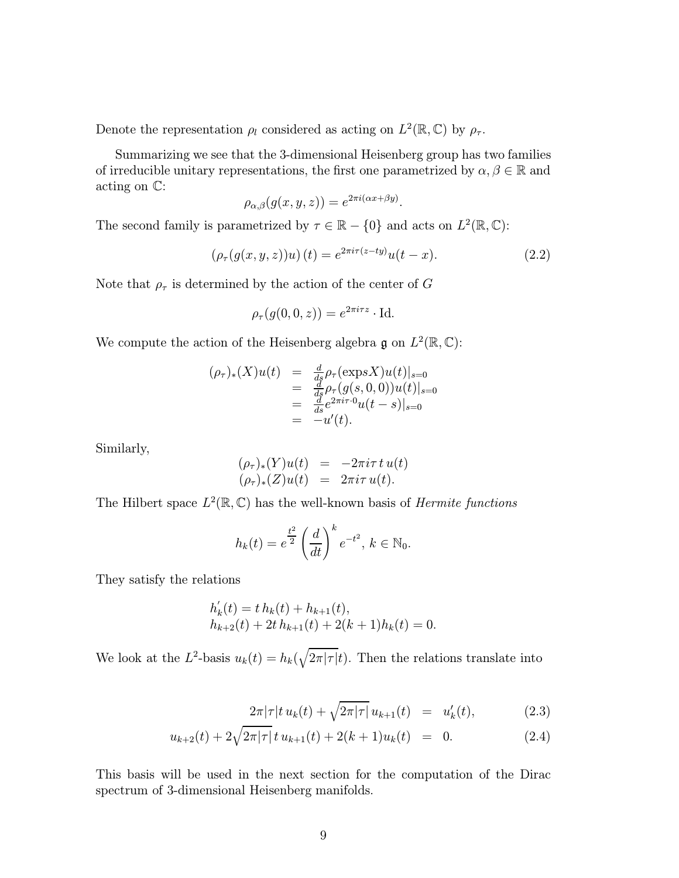<span id="page-8-0"></span>Denote the representation  $\rho_l$  considered as acting on  $L^2(\mathbb{R}, \mathbb{C})$  by  $\rho_{\tau}$ .

Summarizing we see that the 3-dimensional Heisenberg group has two families of irreducible unitary representations, the first one parametrized by  $\alpha, \beta \in \mathbb{R}$  and acting on C:

$$
\rho_{\alpha,\beta}(g(x,y,z))=e^{2\pi i(\alpha x+\beta y)}
$$

The second family is parametrized by  $\tau \in \mathbb{R} - \{0\}$  and acts on  $L^2(\mathbb{R}, \mathbb{C})$ :

$$
(\rho_{\tau}(g(x, y, z))u)(t) = e^{2\pi i \tau(z - ty)}u(t - x).
$$
 (2.2)

.

Note that  $\rho_{\tau}$  is determined by the action of the center of G

$$
\rho_{\tau}(g(0,0,z)) = e^{2\pi i \tau z} \cdot \text{Id}.
$$

We compute the action of the Heisenberg algebra g on  $L^2(\mathbb{R}, \mathbb{C})$ :

$$
(\rho_{\tau})_{*}(X)u(t) = \frac{d}{ds}\rho_{\tau}(\exp S X)u(t)|_{s=0}
$$
  
= 
$$
\frac{d}{ds}\rho_{\tau}(g(s,0,0))u(t)|_{s=0}
$$
  
= 
$$
\frac{d}{ds}e^{2\pi i\tau \cdot 0}u(t-s)|_{s=0}
$$
  
= 
$$
-u'(t).
$$

Similarly,

$$
(\rho_{\tau})_*(Y)u(t) = -2\pi i \tau t u(t) (\rho_{\tau})_*(Z)u(t) = 2\pi i \tau u(t).
$$

The Hilbert space  $L^2(\mathbb{R}, \mathbb{C})$  has the well-known basis of *Hermite functions* 

$$
h_k(t) = e^{\frac{t^2}{2}} \left(\frac{d}{dt}\right)^k e^{-t^2}, \, k \in \mathbb{N}_0.
$$

They satisfy the relations

$$
h'_{k}(t) = t h_{k}(t) + h_{k+1}(t),
$$
  
\n
$$
h_{k+2}(t) + 2t h_{k+1}(t) + 2(k+1)h_{k}(t) = 0.
$$

We look at the L<sup>2</sup>-basis  $u_k(t) = h_k(\sqrt{2\pi |\tau|}t)$ . Then the relations translate into

$$
\frac{2\pi|\tau|t u_k(t) + \sqrt{2\pi|\tau|} u_{k+1}(t) = u'_k(t), \qquad (2.3)
$$

$$
u_{k+2}(t) + 2\sqrt{2\pi|\tau|} \, t \, u_{k+1}(t) + 2(k+1)u_k(t) = 0. \tag{2.4}
$$

This basis will be used in the next section for the computation of the Dirac spectrum of 3-dimensional Heisenberg manifolds.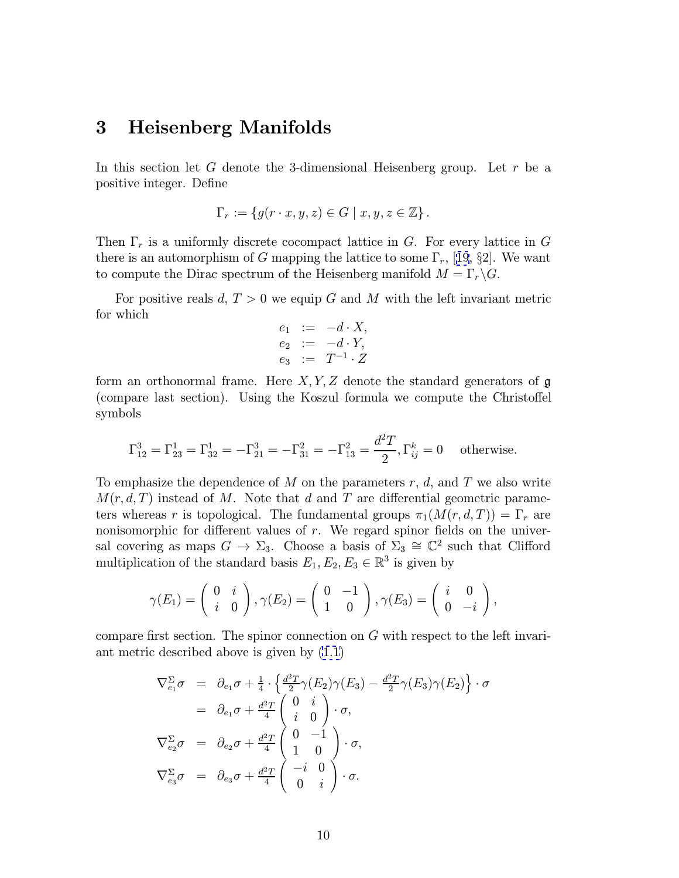#### 3 Heisenberg Manifolds

In this section let G denote the 3-dimensional Heisenberg group. Let  $r$  be a positive integer. Define

$$
\Gamma_r := \{ g(r \cdot x, y, z) \in G \mid x, y, z \in \mathbb{Z} \}.
$$

Then  $\Gamma_r$  is a uniformly discrete cocompact lattice in G. For every lattice in G there is an automorphism of G mapping the lattice to some  $\Gamma_r$ , [[19](#page-33-0), §2]. We want to compute the Dirac spectrum of the Heisenberg manifold  $M = \Gamma_r \backslash G$ .

For positive reals d,  $T > 0$  we equip G and M with the left invariant metric for which

$$
e_1 := -d \cdot X, \n e_2 := -d \cdot Y, \n e_3 := T^{-1} \cdot Z
$$

form an orthonormal frame. Here  $X, Y, Z$  denote the standard generators of  $\mathfrak g$ (compare last section). Using the Koszul formula we compute the Christoffel symbols

$$
\Gamma_{12}^3 = \Gamma_{23}^1 = \Gamma_{32}^1 = -\Gamma_{21}^3 = -\Gamma_{31}^2 = -\Gamma_{13}^2 = \frac{d^2T}{2}, \Gamma_{ij}^k = 0 \text{ otherwise.}
$$

To emphasize the dependence of M on the parameters  $r, d$ , and T we also write  $M(r, d, T)$  instead of M. Note that d and T are differential geometric parameters whereas r is topological. The fundamental groups  $\pi_1(M(r, d, T)) = \Gamma_r$  are nonisomorphic for different values of  $r$ . We regard spinor fields on the universal covering as maps  $G \to \Sigma_3$ . Choose a basis of  $\Sigma_3 \cong \mathbb{C}^2$  such that Clifford multiplication of the standard basis  $E_1, E_2, E_3 \in \mathbb{R}^3$  is given by

$$
\gamma(E_1) = \begin{pmatrix} 0 & i \\ i & 0 \end{pmatrix}, \gamma(E_2) = \begin{pmatrix} 0 & -1 \\ 1 & 0 \end{pmatrix}, \gamma(E_3) = \begin{pmatrix} i & 0 \\ 0 & -i \end{pmatrix},
$$

compare first section. The spinor connection on G with respect to the left invariant metric described above is given by [\(1.1](#page-4-0))

$$
\nabla_{e_1}^{\Sigma} \sigma = \partial_{e_1} \sigma + \frac{1}{4} \cdot \left\{ \frac{d^2 T}{2} \gamma(E_2) \gamma(E_3) - \frac{d^2 T}{2} \gamma(E_3) \gamma(E_2) \right\} \cdot \sigma
$$
  
\n
$$
= \partial_{e_1} \sigma + \frac{d^2 T}{4} \begin{pmatrix} 0 & i \\ i & 0 \end{pmatrix} \cdot \sigma,
$$
  
\n
$$
\nabla_{e_2}^{\Sigma} \sigma = \partial_{e_2} \sigma + \frac{d^2 T}{4} \begin{pmatrix} 0 & -1 \\ 1 & 0 \end{pmatrix} \cdot \sigma,
$$
  
\n
$$
\nabla_{e_3}^{\Sigma} \sigma = \partial_{e_3} \sigma + \frac{d^2 T}{4} \begin{pmatrix} -i & 0 \\ 0 & i \end{pmatrix} \cdot \sigma.
$$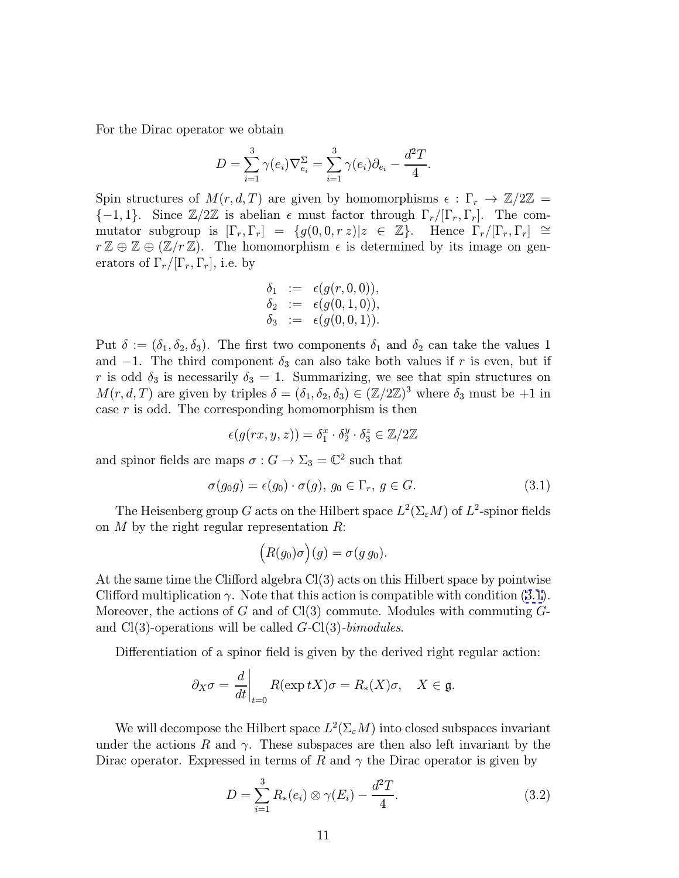<span id="page-10-0"></span>For the Dirac operator we obtain

$$
D = \sum_{i=1}^{3} \gamma(e_i) \nabla_{e_i}^{\Sigma} = \sum_{i=1}^{3} \gamma(e_i) \partial_{e_i} - \frac{d^2 T}{4}.
$$

Spin structures of  $M(r, d, T)$  are given by homomorphisms  $\epsilon : \Gamma_r \to \mathbb{Z}/2\mathbb{Z} =$  ${-1, 1}$ . Since  $\mathbb{Z}/2\mathbb{Z}$  is abelian  $\epsilon$  must factor through  $\Gamma_r/[\Gamma_r, \Gamma_r]$ . The commutator subgroup is  $[\Gamma_r, \Gamma_r] = \{g(0, 0, r z) | z \in \mathbb{Z}\}\.$  Hence  $\Gamma_r/[\Gamma_r, \Gamma_r] \cong$  $r \mathbb{Z} \oplus \mathbb{Z} \oplus (\mathbb{Z}/r \mathbb{Z})$ . The homomorphism  $\epsilon$  is determined by its image on generators of  $\Gamma_r/[\Gamma_r, \Gamma_r]$ , i.e. by

$$
\begin{array}{rcl} \delta_1 & := & \epsilon(g(r,0,0)), \\ \delta_2 & := & \epsilon(g(0,1,0)), \\ \delta_3 & := & \epsilon(g(0,0,1)). \end{array}
$$

Put  $\delta := (\delta_1, \delta_2, \delta_3)$ . The first two components  $\delta_1$  and  $\delta_2$  can take the values 1 and  $-1$ . The third component  $\delta_3$  can also take both values if r is even, but if r is odd  $\delta_3$  is necessarily  $\delta_3 = 1$ . Summarizing, we see that spin structures on  $M(r, d, T)$  are given by triples  $\delta = (\delta_1, \delta_2, \delta_3) \in (\mathbb{Z}/2\mathbb{Z})^3$  where  $\delta_3$  must be  $+1$  in case  $r$  is odd. The corresponding homomorphism is then

$$
\epsilon(g(rx,y,z)) = \delta_1^x \cdot \delta_2^y \cdot \delta_3^z \in \mathbb{Z}/2\mathbb{Z}
$$

and spinor fields are maps  $\sigma : G \to \Sigma_3 = \mathbb{C}^2$  such that

$$
\sigma(g_0 g) = \epsilon(g_0) \cdot \sigma(g), \ g_0 \in \Gamma_r, \ g \in G. \tag{3.1}
$$

The Heisenberg group G acts on the Hilbert space  $L^2(\Sigma_{\varepsilon}M)$  of  $L^2$ -spinor fields on  $M$  by the right regular representation  $R$ :

$$
(R(g_0)\sigma)(g) = \sigma(g g_0).
$$

At the same time the Clifford algebra Cl(3) acts on this Hilbert space by pointwise Clifford multiplication  $\gamma$ . Note that this action is compatible with condition (3.1). Moreover, the actions of G and of Cl(3) commute. Modules with commuting  $G$ and  $Cl(3)$ -operations will be called  $G-Cl(3)$ -bimodules.

Differentiation of a spinor field is given by the derived right regular action:

$$
\partial_X \sigma = \frac{d}{dt}\bigg|_{t=0} R(\exp tX)\sigma = R_*(X)\sigma, \quad X \in \mathfrak{g}.
$$

We will decompose the Hilbert space  $L^2(\Sigma_\varepsilon M)$  into closed subspaces invariant under the actions R and  $\gamma$ . These subspaces are then also left invariant by the Dirac operator. Expressed in terms of R and  $\gamma$  the Dirac operator is given by

$$
D = \sum_{i=1}^{3} R_*(e_i) \otimes \gamma(E_i) - \frac{d^2T}{4}.
$$
 (3.2)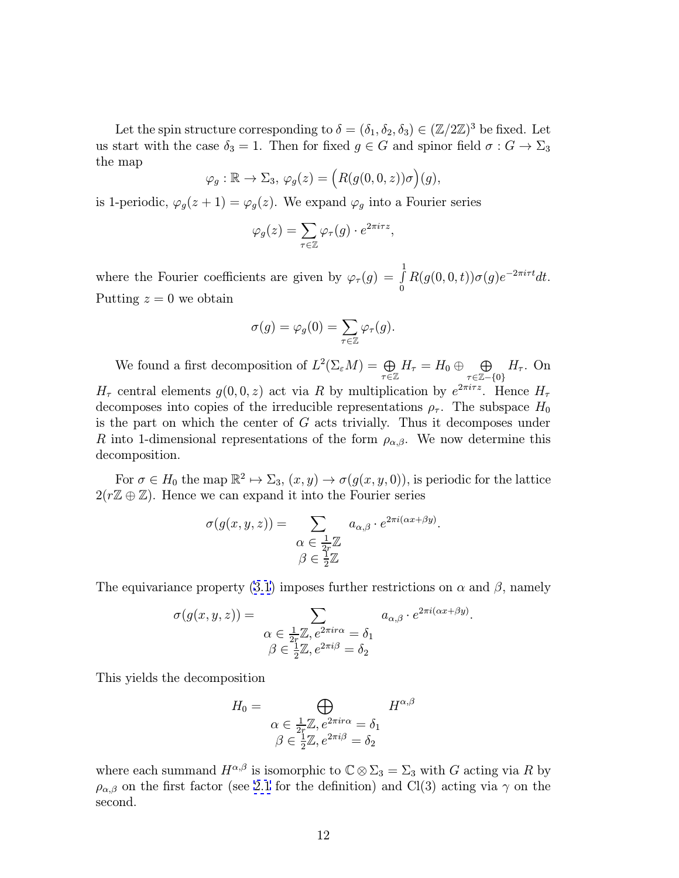Let the spin structure corresponding to  $\delta = (\delta_1, \delta_2, \delta_3) \in (\mathbb{Z}/2\mathbb{Z})^3$  be fixed. Let us start with the case  $\delta_3 = 1$ . Then for fixed  $g \in G$  and spinor field  $\sigma : G \to \Sigma_3$ the map

$$
\varphi_g : \mathbb{R} \to \Sigma_3, \, \varphi_g(z) = \Big( R(g(0,0,z))\sigma \Big)(g),
$$

is 1-periodic,  $\varphi_g(z+1) = \varphi_g(z)$ . We expand  $\varphi_g$  into a Fourier series

$$
\varphi_g(z) = \sum_{\tau \in \mathbb{Z}} \varphi_\tau(g) \cdot e^{2\pi i \tau z},
$$

where the Fourier coefficients are given by  $\varphi_{\tau}(g) = \int_{0}^{1}$ 0  $R(g(0, 0, t))\sigma(g)e^{-2\pi i \tau t}dt.$ Putting  $z = 0$  we obtain

$$
\sigma(g) = \varphi_g(0) = \sum_{\tau \in \mathbb{Z}} \varphi_\tau(g).
$$

We found a first decomposition of  $L^2(\Sigma_{\varepsilon}M) = \bigoplus$ τ∈Z  $H_{\tau} = H_0 \oplus \quad \bigoplus$ τ∈Z−{0}  $H_{\tau}$ . On  $H_{\tau}$  central elements  $g(0,0,z)$  act via R by multiplication by  $e^{2\pi i \tau z}$ . Hence  $H_{\tau}$ decomposes into copies of the irreducible representations  $\rho_{\tau}$ . The subspace  $H_0$ is the part on which the center of G acts trivially. Thus it decomposes under R into 1-dimensional representations of the form  $\rho_{\alpha,\beta}$ . We now determine this decomposition.

For  $\sigma \in H_0$  the map  $\mathbb{R}^2 \mapsto \Sigma_3$ ,  $(x, y) \to \sigma(g(x, y, 0))$ , is periodic for the lattice  $2(r\mathbb{Z} \oplus \mathbb{Z})$ . Hence we can expand it into the Fourier series

$$
\sigma(g(x, y, z)) = \sum_{\substack{\alpha \in \frac{1}{2r}\mathbb{Z} \\ \beta \in \frac{1}{2}\mathbb{Z}}} a_{\alpha, \beta} \cdot e^{2\pi i (\alpha x + \beta y)}.
$$

The equivariance property [\(3.1](#page-10-0)) imposes further restrictions on  $\alpha$  and  $\beta$ , namely

$$
\sigma(g(x, y, z)) = \sum_{\substack{\alpha \in \frac{1}{2r}\mathbb{Z}, e^{2\pi i r \alpha} = \delta_1 \\ \beta \in \frac{1}{2}\mathbb{Z}, e^{2\pi i \beta} = \delta_2}} a_{\alpha, \beta} \cdot e^{2\pi i (\alpha x + \beta y)}.
$$

This yields the decomposition

$$
H_0 = \bigoplus_{\begin{array}{l} \alpha \in \frac{1}{2r}\mathbb{Z}, e^{2\pi i r \alpha} = \delta_1 \\ \beta \in \frac{1}{2}\mathbb{Z}, e^{2\pi i \beta} = \delta_2 \end{array}} H^{\alpha, \beta}
$$

where each summand  $H^{\alpha,\beta}$  is isomorphic to  $\mathbb{C}\otimes\Sigma_3=\Sigma_3$  with G acting via R by  $\rho_{\alpha,\beta}$  on the first factor (see [2.1](#page-7-0) for the definition) and Cl(3) acting via  $\gamma$  on the second.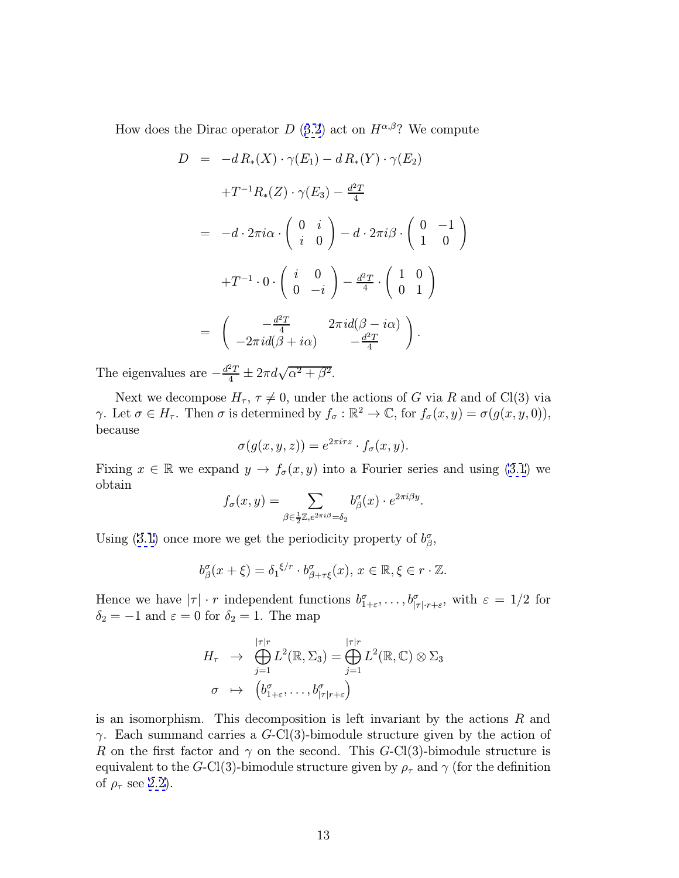How does the Dirac operator D ([3.2](#page-10-0)) act on  $H^{\alpha,\beta}$ ? We compute

$$
D = -d R_*(X) \cdot \gamma(E_1) - d R_*(Y) \cdot \gamma(E_2)
$$
  
\n
$$
+T^{-1}R_*(Z) \cdot \gamma(E_3) - \frac{d^2T}{4}
$$
  
\n
$$
= -d \cdot 2\pi i \alpha \cdot \begin{pmatrix} 0 & i \\ i & 0 \end{pmatrix} - d \cdot 2\pi i \beta \cdot \begin{pmatrix} 0 & -1 \\ 1 & 0 \end{pmatrix}
$$
  
\n
$$
+T^{-1} \cdot 0 \cdot \begin{pmatrix} i & 0 \\ 0 & -i \end{pmatrix} - \frac{d^2T}{4} \cdot \begin{pmatrix} 1 & 0 \\ 0 & 1 \end{pmatrix}
$$
  
\n
$$
= \begin{pmatrix} -\frac{d^2T}{4} & 2\pi i d(\beta - i\alpha) \\ -2\pi i d(\beta + i\alpha) & -\frac{d^2T}{4} \end{pmatrix}.
$$

The eigenvalues are  $-\frac{d^2T}{4} \pm 2\pi d\sqrt{\alpha^2 + \beta^2}$ .

Next we decompose  $H_{\tau}$ ,  $\tau \neq 0$ , under the actions of G via R and of Cl(3) via γ. Let  $\sigma \in H_{\tau}$ . Then  $\sigma$  is determined by  $f_{\sigma} : \mathbb{R}^2 \to \mathbb{C}$ , for  $f_{\sigma}(x, y) = \sigma(g(x, y, 0)),$ because

$$
\sigma(g(x, y, z)) = e^{2\pi i \tau z} \cdot f_{\sigma}(x, y).
$$

Fixing  $x \in \mathbb{R}$  we expand  $y \to f_{\sigma}(x, y)$  into a Fourier series and using [\(3.1](#page-10-0)) we obtain

$$
f_{\sigma}(x,y) = \sum_{\beta \in \frac{1}{2}\mathbb{Z}, e^{2\pi i \beta} = \delta_2} b_{\beta}^{\sigma}(x) \cdot e^{2\pi i \beta y}.
$$

Using ([3.1\)](#page-10-0) once more we get the periodicity property of  $b^{\sigma}_{\beta}$ ,

$$
b^{\sigma}_{\beta}(x+\xi) = \delta_1^{\xi/r} \cdot b^{\sigma}_{\beta+\tau\xi}(x), \, x \in \mathbb{R}, \xi \in r \cdot \mathbb{Z}.
$$

Hence we have  $|\tau| \cdot r$  independent functions  $b^{\sigma}_{1+\varepsilon}, \ldots, b^{\sigma}_{|\tau| \cdot r+\varepsilon}$ , with  $\varepsilon = 1/2$  for  $\delta_2 = -1$  and  $\varepsilon = 0$  for  $\delta_2 = 1$ . The map

$$
H_{\tau} \rightarrow \bigoplus_{j=1}^{|\tau|r} L^{2}(\mathbb{R}, \Sigma_{3}) = \bigoplus_{j=1}^{|\tau|r} L^{2}(\mathbb{R}, \mathbb{C}) \otimes \Sigma_{3}
$$

$$
\sigma \rightarrow \left(b_{1+\varepsilon}^{\sigma}, \ldots, b_{|\tau|^{r+\varepsilon}}^{\sigma}\right)
$$

is an isomorphism. This decomposition is left invariant by the actions  $R$  and  $γ.$  Each summand carries a  $G$ -Cl(3)-bimodule structure given by the action of R on the first factor and  $\gamma$  on the second. This G-Cl(3)-bimodule structure is equivalent to the G-Cl(3)-bimodule structure given by  $\rho_{\tau}$  and  $\gamma$  (for the definition of  $\rho_{\tau}$  see [2.2\)](#page-8-0).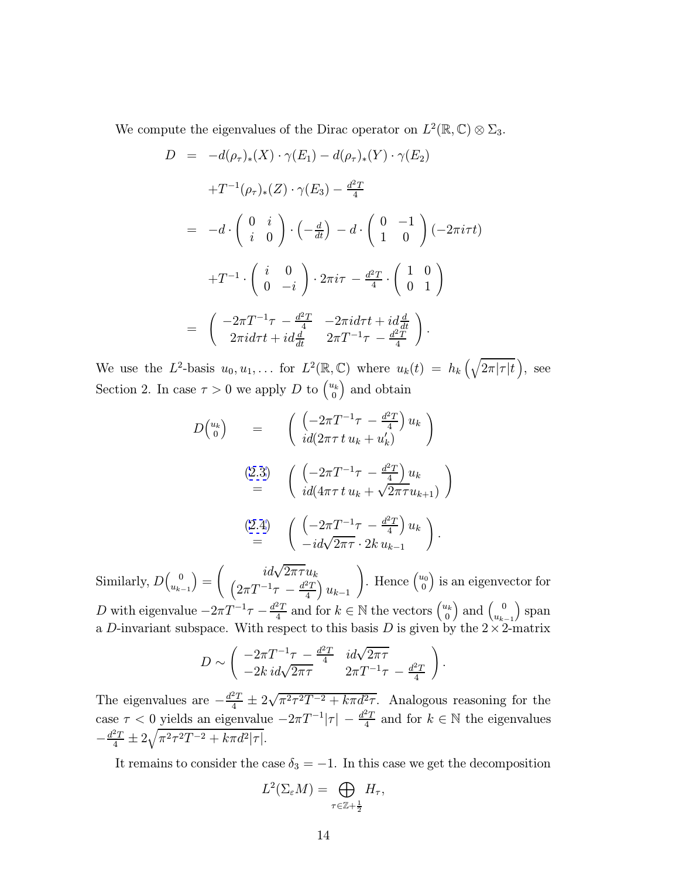We compute the eigenvalues of the Dirac operator on  $L^2(\mathbb{R}, \mathbb{C}) \otimes \Sigma_3$ .

$$
D = -d(\rho_{\tau})_{*}(X) \cdot \gamma(E_{1}) - d(\rho_{\tau})_{*}(Y) \cdot \gamma(E_{2})
$$
  
\n
$$
+T^{-1}(\rho_{\tau})_{*}(Z) \cdot \gamma(E_{3}) - \frac{d^{2}T}{4}
$$
  
\n
$$
= -d \cdot \begin{pmatrix} 0 & i \\ i & 0 \end{pmatrix} \cdot \begin{pmatrix} -\frac{d}{dt} \end{pmatrix} - d \cdot \begin{pmatrix} 0 & -1 \\ 1 & 0 \end{pmatrix} (-2\pi i \tau t)
$$
  
\n
$$
+T^{-1} \cdot \begin{pmatrix} i & 0 \\ 0 & -i \end{pmatrix} \cdot 2\pi i \tau - \frac{d^{2}T}{4} \cdot \begin{pmatrix} 1 & 0 \\ 0 & 1 \end{pmatrix}
$$
  
\n
$$
= \begin{pmatrix} -2\pi T^{-1}\tau - \frac{d^{2}T}{4} & -2\pi i d\tau t + id\frac{d}{dt} \\ 2\pi i d\tau t + id\frac{d}{dt} & 2\pi T^{-1}\tau - \frac{d^{2}T}{4} \end{pmatrix}.
$$

We use the L<sup>2</sup>-basis  $u_0, u_1, \ldots$  for  $L^2(\mathbb{R}, \mathbb{C})$  where  $u_k(t) = h_k\left(\sqrt{2\pi|\tau|t}\right)$ , see Section 2. In case  $\tau > 0$  we apply D to  $\binom{u_k}{0}$  $\binom{u_k}{0}$  and obtain

$$
D\begin{pmatrix} u_k \\ 0 \end{pmatrix} = \begin{pmatrix} \left( -2\pi T^{-1}\tau - \frac{d^2T}{4} \right) u_k \\ id(2\pi \tau t u_k + u'_k) \end{pmatrix}
$$
  
\n(2.3) 
$$
\begin{pmatrix} \left( -2\pi T^{-1}\tau - \frac{d^2T}{4} \right) u_k \\ id(4\pi \tau t u_k + \sqrt{2\pi \tau} u_{k+1}) \end{pmatrix}
$$
  
\n(2.4) 
$$
\begin{pmatrix} \left( -2\pi T^{-1}\tau - \frac{d^2T}{4} \right) u_k \\ -id\sqrt{2\pi \tau} \cdot 2k u_{k-1} \end{pmatrix}.
$$

Similarly,  $D\begin{pmatrix} 0 \\ u \end{pmatrix}$  $u_{k-1}$  $=$  $\int$  *id*√  $\sqrt{ }$  $2\pi\tau u_k$  $2\pi T^{-1}\tau \,-\frac{d^2T}{4}\Big)\,u_{k-1}$ ). Hence  $\begin{pmatrix} u_0 \\ 0 \end{pmatrix}$  $\binom{u_0}{0}$  is an eigenvector for D with eigenvalue  $-2\pi T^{-1}\tau - \frac{d^2T}{4}$  and for  $k \in \mathbb{N}$  the vectors  $\begin{pmatrix} u_k \\ 0 \end{pmatrix}$  $\left(\begin{smallmatrix} l_k\0\end{smallmatrix}\right)$  and  $\left(\begin{smallmatrix} 0\ u_{k-1}\end{smallmatrix}\right)$  span a D-invariant subspace. With respect to this basis D is given by the  $2 \times 2$ -matrix

$$
D \sim \begin{pmatrix} -2\pi T^{-1}\tau - \frac{d^2T}{4} & id\sqrt{2\pi\tau} \\ -2k \, id\sqrt{2\pi\tau} & 2\pi T^{-1}\tau - \frac{d^2T}{4} \end{pmatrix}.
$$

The eigenvalues are  $-\frac{d^2T}{4} \pm 2\sqrt{\pi^2\tau^2T^{-2} + k\pi d^2\tau}$ . Analogous reasoning for the case  $\tau < 0$  yields an eigenvalue  $-2\pi T^{-1}|\tau| - \frac{d^2T}{4}$  and for  $k \in \mathbb{N}$  the eigenvalues  $-\frac{d^2T}{4} \pm 2\sqrt{\pi^2 \tau^2 T^{-2} + k\pi d^2 |\tau|}.$ 

It remains to consider the case  $\delta_3 = -1$ . In this case we get the decomposition

$$
L^2(\Sigma_\varepsilon M)=\bigoplus_{\tau\in\mathbb{Z}+\frac{1}{2}}H_\tau,
$$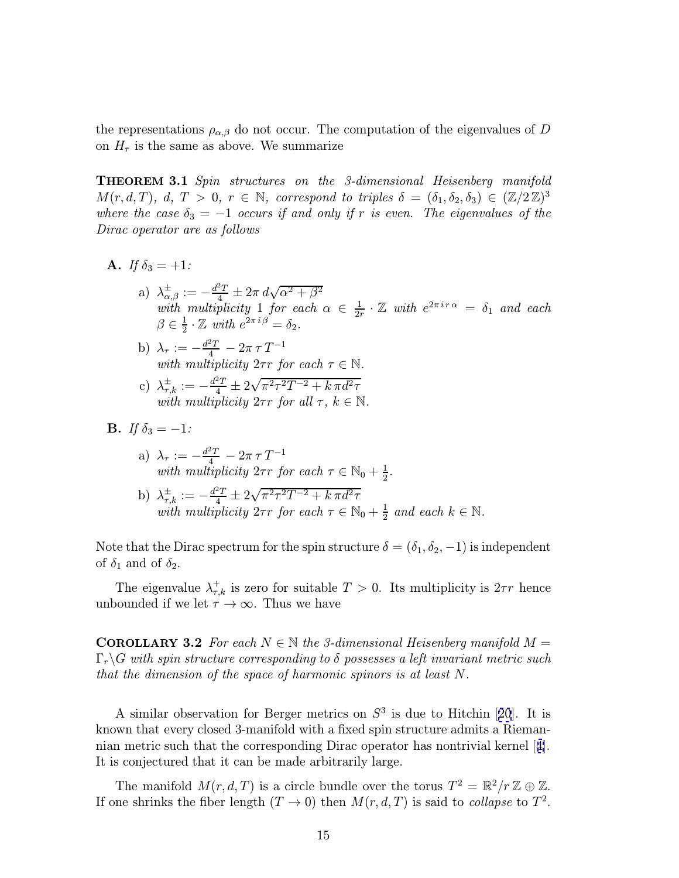<span id="page-14-0"></span>the representations  $\rho_{\alpha,\beta}$  do not occur. The computation of the eigenvalues of D on  $H_{\tau}$  is the same as above. We summarize

**THEOREM 3.1** Spin structures on the 3-dimensional Heisenberg manifold  $M(r, d, T), d, T > 0, r \in \mathbb{N}$ , correspond to triples  $\delta = (\delta_1, \delta_2, \delta_3) \in (\mathbb{Z}/2\mathbb{Z})^3$ where the case  $\delta_3 = -1$  occurs if and only if r is even. The eigenvalues of the Dirac operator are as follows

- **A.** If  $\delta_3 = +1$ :
	- a)  $\lambda_{\alpha,\beta}^{\pm} := -\frac{d^2T}{4} \pm 2\pi \, d\sqrt{\alpha^2 + \beta^2}$ with multiplicity 1 for each  $\alpha \in \frac{1}{2r} \cdot \mathbb{Z}$  with  $e^{2\pi i r \alpha} = \delta_1$  and each  $\beta \in \frac{1}{2} \cdot \mathbb{Z}$  with  $e^{2\pi i \beta} = \delta_2$ .
	- b)  $\lambda_{\tau} := -\frac{d^2 T}{4} 2\pi \tau T^{-1}$ with multiplicity  $2\tau r$  for each  $\tau \in \mathbb{N}$ .
	- c)  $\lambda_{\tau,k}^{\pm} := -\frac{d^2T}{4} \pm 2\sqrt{\pi^2 \tau^2 T^{-2} + k \pi d^2 \tau^2}$ with multiplicity  $2\tau r$  for all  $\tau$ ,  $k \in \mathbb{N}$ .
- **B.** If  $\delta_3 = -1$ :
	- a)  $\lambda_{\tau} := -\frac{d^2 T}{4} 2\pi \tau T^{-1}$ with multiplicity  $2\tau r$  for each  $\tau \in \mathbb{N}_0 + \frac{1}{2}$ .

b) 
$$
\lambda_{\tau,k}^{\pm} := -\frac{d^2T}{4} \pm 2\sqrt{\pi^2 \tau^2 T^{-2} + k \pi d^2 \tau}
$$
 with multiplicity  $2\tau r$  for each  $\tau \in \mathbb{N}_0 + \frac{1}{2}$  and each  $k \in \mathbb{N}$ .

Note that the Dirac spectrum for the spin structure  $\delta = (\delta_1, \delta_2, -1)$  is independent of  $\delta_1$  and of  $\delta_2$ .

The eigenvalue  $\lambda_{\tau,k}^+$  is zero for suitable  $T > 0$ . Its multiplicity is  $2\tau r$  hence unbounded if we let  $\tau \to \infty$ . Thus we have

**COROLLARY 3.2** For each  $N \in \mathbb{N}$  the 3-dimensional Heisenberg manifold  $M =$  $\Gamma_r\backslash G$  with spin structure corresponding to  $\delta$  possesses a left invariant metric such that the dimension of the space of harmonic spinors is at least N.

A similar observation for Berger metrics on  $S<sup>3</sup>$  is due to Hitchin [[20](#page-34-0)]. It is known that every closed 3-manifold with a fixed spin structure admits a Riemannian metric such that the corresponding Dirac operator has nontrivial kernel [[4\]](#page-33-0). It is conjectured that it can be made arbitrarily large.

The manifold  $M(r, d, T)$  is a circle bundle over the torus  $T^2 = \mathbb{R}^2/r \mathbb{Z} \oplus \mathbb{Z}$ . If one shrinks the fiber length  $(T \to 0)$  then  $M(r, d, T)$  is said to *collapse* to  $T^2$ .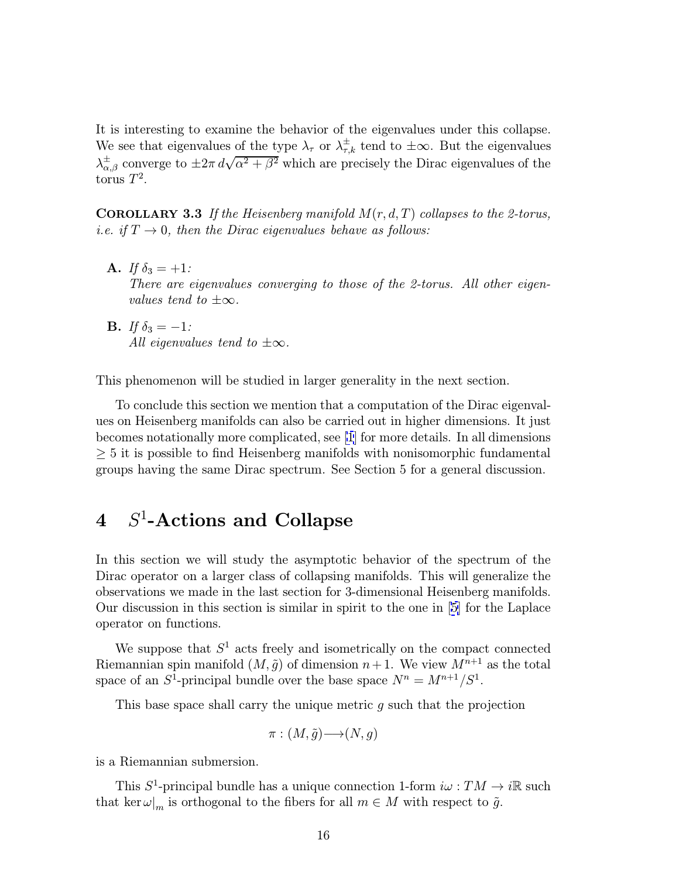<span id="page-15-0"></span>It is interesting to examine the behavior of the eigenvalues under this collapse. We see that eigenvalues of the type  $\lambda_{\tau}$  or  $\lambda_{\tau,k}^{\pm}$  tend to  $\pm\infty$ . But the eigenvalues We see that eigenvalues of the type  $\lambda_{\tau}$  or  $\lambda_{\tau,k}$  term to  $\pm\infty$ . But the eigenvalues of the  $\lambda_{\alpha,\beta}^{\pm}$  converge to  $\pm 2\pi d\sqrt{\alpha^2 + \beta^2}$  which are precisely the Dirac eigenvalues of the torus  $T^2$ .

**COROLLARY 3.3** If the Heisenberg manifold  $M(r, d, T)$  collapses to the 2-torus, i.e. if  $T \to 0$ , then the Dirac eigenvalues behave as follows:

- **A.** If  $\delta_3 = +1$ : There are eigenvalues converging to those of the 2-torus. All other eigenvalues tend to  $\pm\infty$ .
- **B.** If  $\delta_3 = -1$ : All eigenvalues tend to  $\pm\infty$ .

This phenomenon will be studied in larger generality in the next section.

To conclude this section we mention that a computation of the Dirac eigenvalues on Heisenberg manifolds can also be carried out in higher dimensions. It just becomes notationally more complicated, see [\[1](#page-32-0)] for more details. In all dimensions ≥ 5 it is possible to find Heisenberg manifolds with nonisomorphic fundamental groups having the same Dirac spectrum. See Section 5 for a general discussion.

## 4  $S^1$ -Actions and Collapse

In this section we will study the asymptotic behavior of the spectrum of the Dirac operator on a larger class of collapsing manifolds. This will generalize the observations we made in the last section for 3-dimensional Heisenberg manifolds. Our discussion in this section is similar in spirit to the one in [[5\]](#page-33-0) for the Laplace operator on functions.

We suppose that  $S<sup>1</sup>$  acts freely and isometrically on the compact connected Riemannian spin manifold  $(M, \tilde{g})$  of dimension  $n+1$ . We view  $M^{n+1}$  as the total space of an  $S^1$ -principal bundle over the base space  $N^n = M^{n+1}/S^1$ .

This base space shall carry the unique metric g such that the projection

$$
\pi : (M, \tilde{g}) \longrightarrow (N, g)
$$

is a Riemannian submersion.

This  $S^1$ -principal bundle has a unique connection 1-form  $i\omega : TM \to i\mathbb{R}$  such that ker $\omega|_m$  is orthogonal to the fibers for all  $m \in M$  with respect to  $\tilde{g}$ .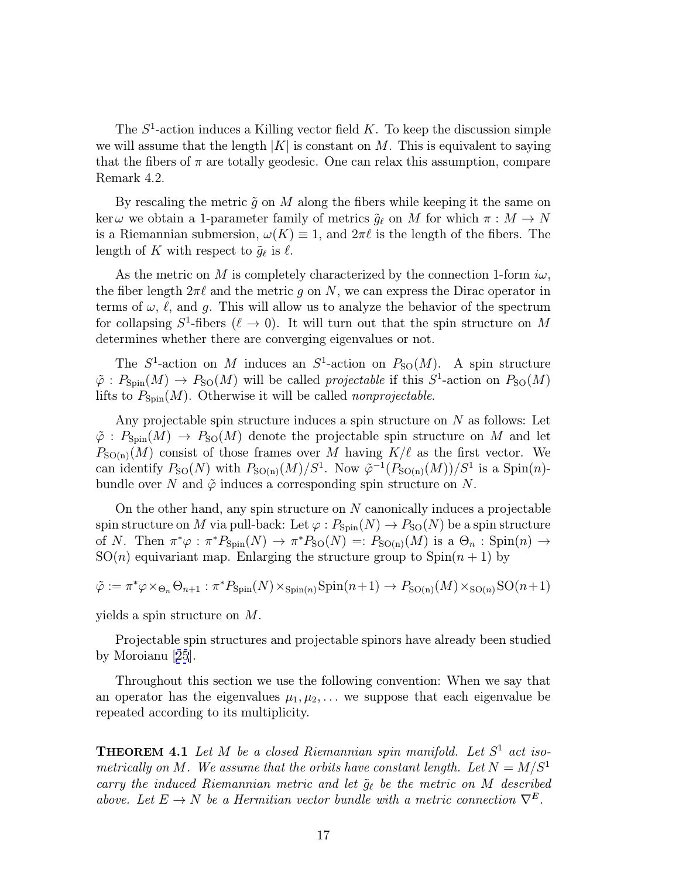<span id="page-16-0"></span>The  $S<sup>1</sup>$ -action induces a Killing vector field K. To keep the discussion simple we will assume that the length  $|K|$  is constant on M. This is equivalent to saying that the fibers of  $\pi$  are totally geodesic. One can relax this assumption, compare Remark 4.2.

By rescaling the metric  $\tilde{q}$  on M along the fibers while keeping it the same on ker we obtain a 1-parameter family of metrics  $\tilde{g}_{\ell}$  on M for which  $\pi : M \to N$ is a Riemannian submersion,  $\omega(K) \equiv 1$ , and  $2\pi\ell$  is the length of the fibers. The length of K with respect to  $\tilde{g}_{\ell}$  is  $\ell$ .

As the metric on M is completely characterized by the connection 1-form  $i\omega$ , the fiber length  $2\pi\ell$  and the metric g on N, we can express the Dirac operator in terms of  $\omega, \ell$ , and q. This will allow us to analyze the behavior of the spectrum for collapsing  $S^1$ -fibers  $(\ell \to 0)$ . It will turn out that the spin structure on M determines whether there are converging eigenvalues or not.

The  $S^1$ -action on M induces an  $S^1$ -action on  $P_{\text{SO}}(M)$ . A spin structure  $\tilde{\varphi}: P_{\text{Spin}}(M) \to P_{\text{SO}}(M)$  will be called *projectable* if this  $S^1$ -action on  $P_{\text{SO}}(M)$ lifts to  $P_{\text{Spin}}(M)$ . Otherwise it will be called *nonprojectable*.

Any projectable spin structure induces a spin structure on N as follows: Let  $\tilde{\varphi}: P_{\text{Spin}}(M) \to P_{\text{SO}}(M)$  denote the projectable spin structure on M and let  $P_{\text{SO(n)}}(M)$  consist of those frames over M having  $K/\ell$  as the first vector. We can identify  $P_{\text{SO}}(N)$  with  $P_{\text{SO}(n)}(M)/S^1$ . Now  $\tilde{\varphi}^{-1}(P_{\text{SO}(n)}(M))/S^1$  is a Spin $(n)$ bundle over N and  $\tilde{\varphi}$  induces a corresponding spin structure on N.

On the other hand, any spin structure on  $N$  canonically induces a projectable spin structure on M via pull-back: Let  $\varphi: P_{\text{Spin}}(N) \to P_{\text{SO}}(N)$  be a spin structure of N. Then  $\pi^*\varphi : \pi^*P_{\text{Spin}}(N) \to \pi^*P_{\text{SO}}(N) =: P_{\text{SO}(n)}(M)$  is a  $\Theta_n : \text{Spin}(n) \to$  $SO(n)$  equivariant map. Enlarging the structure group to  $Spin(n + 1)$  by

$$
\tilde{\varphi} := \pi^* \varphi \times_{\Theta_n} \Theta_{n+1} : \pi^* P_{\text{Spin}}(N) \times_{\text{Spin}(n)} \text{Spin}(n+1) \to P_{\text{SO}(n)}(M) \times_{\text{SO}(n)} \text{SO}(n+1)
$$

yields a spin structure on M.

Projectable spin structures and projectable spinors have already been studied by Moroianu [[25](#page-34-0)].

Throughout this section we use the following convention: When we say that an operator has the eigenvalues  $\mu_1, \mu_2, \ldots$  we suppose that each eigenvalue be repeated according to its multiplicity.

**THEOREM 4.1** Let  $M$  be a closed Riemannian spin manifold. Let  $S^1$  act isometrically on M. We assume that the orbits have constant length. Let  $N = M/S<sup>1</sup>$ carry the induced Riemannian metric and let  $\tilde{g}_{\ell}$  be the metric on M described above. Let  $E \to N$  be a Hermitian vector bundle with a metric connection  $\nabla^E$ .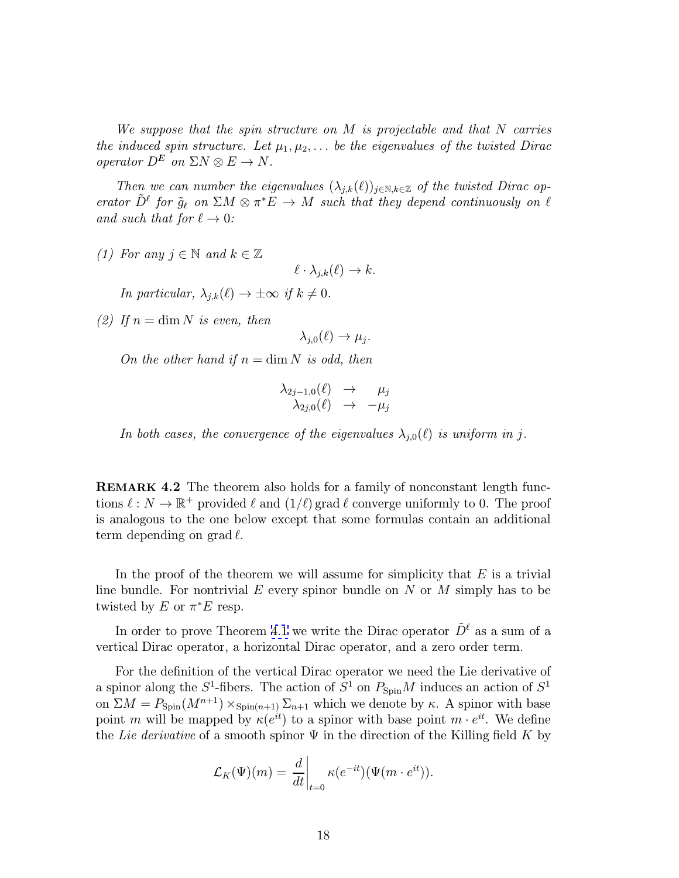<span id="page-17-0"></span>We suppose that the spin structure on M is projectable and that N carries the induced spin structure. Let  $\mu_1, \mu_2, \ldots$  be the eigenvalues of the twisted Dirac operator  $D^E$  on  $\Sigma N \otimes E \to N$ .

Then we can number the eigenvalues  $(\lambda_{j,k}(\ell))_{j\in\mathbb{N},k\in\mathbb{Z}}$  of the twisted Dirac operator  $\tilde{D}^{\ell}$  for  $\tilde{g}_{\ell}$  on  $\Sigma M \otimes \pi^*E \to M$  such that they depend continuously on  $\ell$ and such that for  $\ell \to 0$ :

(1) For any  $j \in \mathbb{N}$  and  $k \in \mathbb{Z}$ 

 $\ell \cdot \lambda_{i,k}(\ell) \to k.$ 

In particular,  $\lambda_{i,k}(\ell) \to \pm \infty$  if  $k \neq 0$ .

(2) If  $n = \dim N$  is even, then

 $\lambda_{i,0}(\ell) \rightarrow \mu_i$ .

On the other hand if  $n = \dim N$  is odd, then

$$
\begin{array}{ccc} \lambda_{2j-1,0}(\ell) & \to & \mu_j \\ \lambda_{2j,0}(\ell) & \to & -\mu_j \end{array}
$$

In both cases, the convergence of the eigenvalues  $\lambda_{i,0}(\ell)$  is uniform in j.

REMARK 4.2 The theorem also holds for a family of nonconstant length functions  $\ell : N \to \mathbb{R}^+$  provided  $\ell$  and  $(1/\ell)$  grad  $\ell$  converge uniformly to 0. The proof is analogous to the one below except that some formulas contain an additional term depending on grad  $\ell$ .

In the proof of the theorem we will assume for simplicity that  $E$  is a trivial line bundle. For nontrivial E every spinor bundle on  $N$  or  $M$  simply has to be twisted by E or  $\pi^*E$  resp.

In order to prove Theorem [4.1](#page-16-0) we write the Dirac operator  $\tilde{D}^{\ell}$  as a sum of a vertical Dirac operator, a horizontal Dirac operator, and a zero order term.

For the definition of the vertical Dirac operator we need the Lie derivative of a spinor along the  $S^1$ -fibers. The action of  $\hat{S}^1$  on  $P_{\text{Spin}}M$  induces an action of  $S^1$ on  $\Sigma M = P_{\text{Spin}}(M^{n+1}) \times_{\text{Spin}(n+1)} \Sigma_{n+1}$  which we denote by  $\kappa$ . A spinor with base point m will be mapped by  $\kappa(e^{it})$  to a spinor with base point  $m \cdot e^{it}$ . We define the Lie derivative of a smooth spinor  $\Psi$  in the direction of the Killing field K by

$$
\mathcal{L}_K(\Psi)(m) = \left. \frac{d}{dt} \right|_{t=0} \kappa(e^{-it}) (\Psi(m \cdot e^{it})).
$$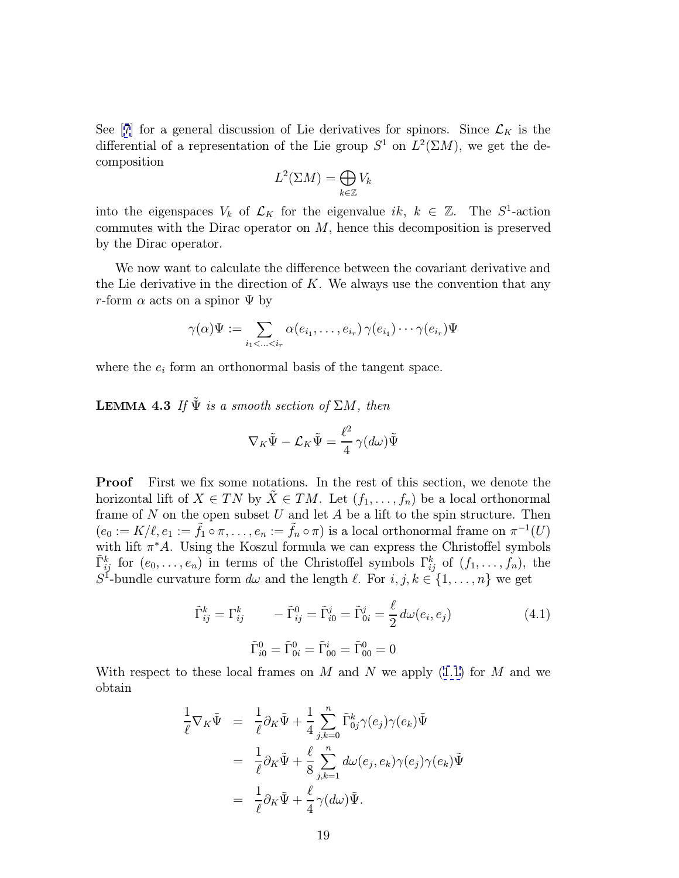<span id="page-18-0"></span>See [[7](#page-33-0)] for a general discussion of Lie derivatives for spinors. Since  $\mathcal{L}_K$  is the differential of a representation of the Lie group  $S^1$  on  $L^2(\Sigma M)$ , we get the decomposition

$$
L^2(\Sigma M) = \bigoplus_{k \in \mathbb{Z}} V_k
$$

into the eigenspaces  $V_k$  of  $\mathcal{L}_K$  for the eigenvalue ik,  $k \in \mathbb{Z}$ . The  $S^1$ -action commutes with the Dirac operator on M, hence this decomposition is preserved by the Dirac operator.

We now want to calculate the difference between the covariant derivative and the Lie derivative in the direction of  $K$ . We always use the convention that any r-form  $\alpha$  acts on a spinor  $\Psi$  by

$$
\gamma(\alpha)\Psi := \sum_{i_1 < \ldots < i_r} \alpha(e_{i_1}, \ldots, e_{i_r}) \gamma(e_{i_1}) \cdots \gamma(e_{i_r}) \Psi
$$

where the  $e_i$  form an orthonormal basis of the tangent space.

**LEMMA 4.3** If  $\tilde{\Psi}$  is a smooth section of  $\Sigma M$ , then

$$
\nabla_K \tilde{\Psi} - \mathcal{L}_K \tilde{\Psi} = \frac{\ell^2}{4} \gamma (d\omega) \tilde{\Psi}
$$

**Proof** First we fix some notations. In the rest of this section, we denote the horizontal lift of  $X \in TN$  by  $X \in TM$ . Let  $(f_1, \ldots, f_n)$  be a local orthonormal frame of  $N$  on the open subset  $U$  and let  $A$  be a lift to the spin structure. Then  $(e_0 := K/\ell, e_1 := \tilde{f}_1 \circ \pi, \ldots, e_n := \tilde{f}_n \circ \pi)$  is a local orthonormal frame on  $\pi^{-1}(U)$ with lift  $\pi^*A$ . Using the Koszul formula we can express the Christoffel symbols  $\tilde{\Gamma}_{ij}^k$  for  $(e_0,\ldots,e_n)$  in terms of the Christoffel symbols  $\Gamma_{ij}^k$  of  $(f_1,\ldots,f_n)$ , the  $S^1$ -bundle curvature form  $d\omega$  and the length  $\ell$ . For  $i, j, k \in \{1, \ldots, n\}$  we get

$$
\tilde{\Gamma}_{ij}^{k} = \Gamma_{ij}^{k} \qquad -\tilde{\Gamma}_{ij}^{0} = \tilde{\Gamma}_{i0}^{j} = \tilde{\Gamma}_{0i}^{j} = \frac{\ell}{2} d\omega(e_i, e_j)
$$
\n
$$
\tilde{\Gamma}_{i0}^{0} = \tilde{\Gamma}_{0i}^{0} = \tilde{\Gamma}_{00}^{i} = \tilde{\Gamma}_{00}^{0} = 0
$$
\n(4.1)

With respect to these local frames on M and N we apply  $(1.1)$  $(1.1)$  for M and we obtain

$$
\frac{1}{\ell} \nabla_K \tilde{\Psi} = \frac{1}{\ell} \partial_K \tilde{\Psi} + \frac{1}{4} \sum_{j,k=0}^n \tilde{\Gamma}_{0j}^k \gamma(e_j) \gamma(e_k) \tilde{\Psi}
$$
\n
$$
= \frac{1}{\ell} \partial_K \tilde{\Psi} + \frac{\ell}{8} \sum_{j,k=1}^n d\omega(e_j, e_k) \gamma(e_j) \gamma(e_k) \tilde{\Psi}
$$
\n
$$
= \frac{1}{\ell} \partial_K \tilde{\Psi} + \frac{\ell}{4} \gamma(d\omega) \tilde{\Psi}.
$$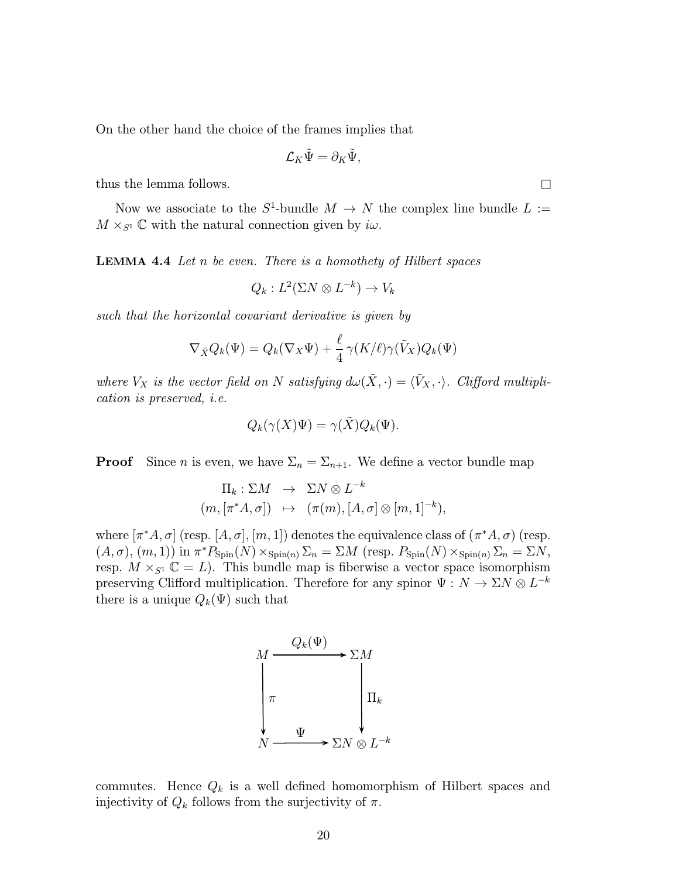<span id="page-19-0"></span>On the other hand the choice of the frames implies that

$$
\mathcal{L}_K \tilde{\Psi} = \partial_K \tilde{\Psi},
$$

thus the lemma follows.  $\Box$ 

Now we associate to the  $S^1$ -bundle  $M \to N$  the complex line bundle  $L :=$  $M \times_{S^1} \mathbb{C}$  with the natural connection given by  $i\omega$ .

**LEMMA 4.4** Let  $n$  be even. There is a homothety of Hilbert spaces

$$
Q_k: L^2(\Sigma N\otimes L^{-k})\to V_k
$$

such that the horizontal covariant derivative is given by

$$
\nabla_{\tilde{X}} Q_k(\Psi) = Q_k(\nabla_X \Psi) + \frac{\ell}{4} \gamma(K/\ell) \gamma(\tilde{V}_X) Q_k(\Psi)
$$

where  $V_X$  is the vector field on N satisfying  $d\omega(\tilde{X}, \cdot) = \langle \tilde{V}_X, \cdot \rangle$ . Clifford multiplication is preserved, i.e.

$$
Q_k(\gamma(X)\Psi) = \gamma(\tilde{X})Q_k(\Psi).
$$

**Proof** Since *n* is even, we have  $\Sigma_n = \Sigma_{n+1}$ . We define a vector bundle map

$$
\Pi_k: \Sigma M \rightarrow \Sigma N \otimes L^{-k}
$$
  
 $(m, [\pi^* A, \sigma]) \mapsto (\pi(m), [A, \sigma] \otimes [m, 1]^{-k}),$ 

where  $[\pi^*A, \sigma]$  (resp.  $[A, \sigma], [m, 1]$ ) denotes the equivalence class of  $(\pi^*A, \sigma)$  (resp.  $(A, \sigma), (m, 1))$  in  $\pi^* P_{\text{Spin}}(N) \times_{\text{Spin}(n)} \Sigma_n = \Sigma M$  (resp.  $P_{\text{Spin}}(N) \times_{\text{Spin}(n)} \Sigma_n = \Sigma N$ , resp.  $M \times_{S^1} \mathbb{C} = L$ . This bundle map is fiberwise a vector space isomorphism preserving Clifford multiplication. Therefore for any spinor  $\Psi:\,N\to \Sigma N\otimes L^{-k}$ there is a unique  $Q_k(\Psi)$  such that



commutes. Hence  $Q_k$  is a well defined homomorphism of Hilbert spaces and injectivity of  $Q_k$  follows from the surjectivity of  $\pi$ .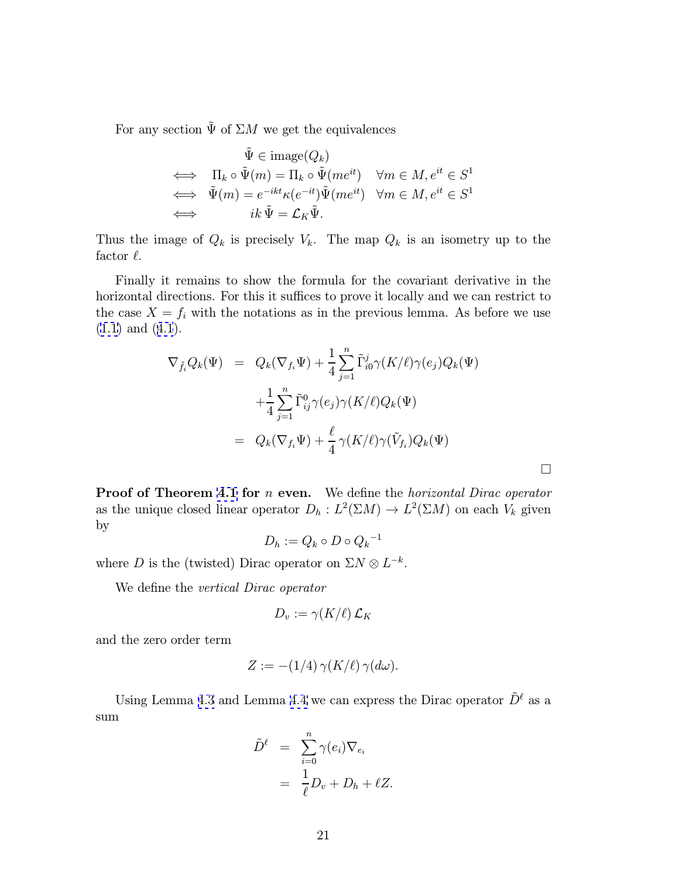For any section  $\tilde{\Psi}$  of  $\Sigma M$  we get the equivalences

$$
\tilde{\Psi} \in \text{image}(Q_k)
$$
\n
$$
\iff \Pi_k \circ \tilde{\Psi}(m) = \Pi_k \circ \tilde{\Psi}(me^{it}) \quad \forall m \in M, e^{it} \in S^1
$$
\n
$$
\iff \tilde{\Psi}(m) = e^{-ikt} \kappa(e^{-it}) \tilde{\Psi}(me^{it}) \quad \forall m \in M, e^{it} \in S^1
$$
\n
$$
\iff i k \tilde{\Psi} = \mathcal{L}_K \tilde{\Psi}.
$$

Thus the image of  $Q_k$  is precisely  $V_k$ . The map  $Q_k$  is an isometry up to the factor  $\ell$ .

Finally it remains to show the formula for the covariant derivative in the horizontal directions. For this it suffices to prove it locally and we can restrict to the case  $X = f_i$  with the notations as in the previous lemma. As before we use ([1.1\)](#page-4-0) and ([4.1](#page-17-0)).

$$
\nabla_{\tilde{f}_i} Q_k(\Psi) = Q_k(\nabla_{f_i} \Psi) + \frac{1}{4} \sum_{j=1}^n \tilde{\Gamma}_{i0}^j \gamma(K/\ell) \gamma(e_j) Q_k(\Psi)
$$
  
+ 
$$
\frac{1}{4} \sum_{j=1}^n \tilde{\Gamma}_{ij}^0 \gamma(e_j) \gamma(K/\ell) Q_k(\Psi)
$$
  
= 
$$
Q_k(\nabla_{f_i} \Psi) + \frac{\ell}{4} \gamma(K/\ell) \gamma(\tilde{V}_{f_i}) Q_k(\Psi)
$$

 $\Box$ 

Proof of Theorem [4.1](#page-16-0) for *n* even. We define the *horizontal Dirac operator* as the unique closed linear operator  $D_h: L^2(\Sigma M) \to L^2(\Sigma M)$  on each  $V_k$  given by

$$
D_h := Q_k \circ D \circ {Q_k}^{-1}
$$

where D is the (twisted) Dirac operator on  $\Sigma N \otimes L^{-k}$ .

We define the *vertical Dirac operator* 

$$
D_v:=\gamma(K/\ell)\,\mathcal{L}_K
$$

and the zero order term

$$
Z := -(1/4) \gamma(K/\ell) \gamma(d\omega).
$$

Using Lemma [4.3](#page-18-0) and Lemma [4.4](#page-19-0) we can express the Dirac operator  $\tilde{D}^{\ell}$  as a sum

$$
\tilde{D}^{\ell} = \sum_{i=0}^{n} \gamma(e_i) \nabla_{e_i}
$$

$$
= \frac{1}{\ell} D_v + D_h + \ell Z.
$$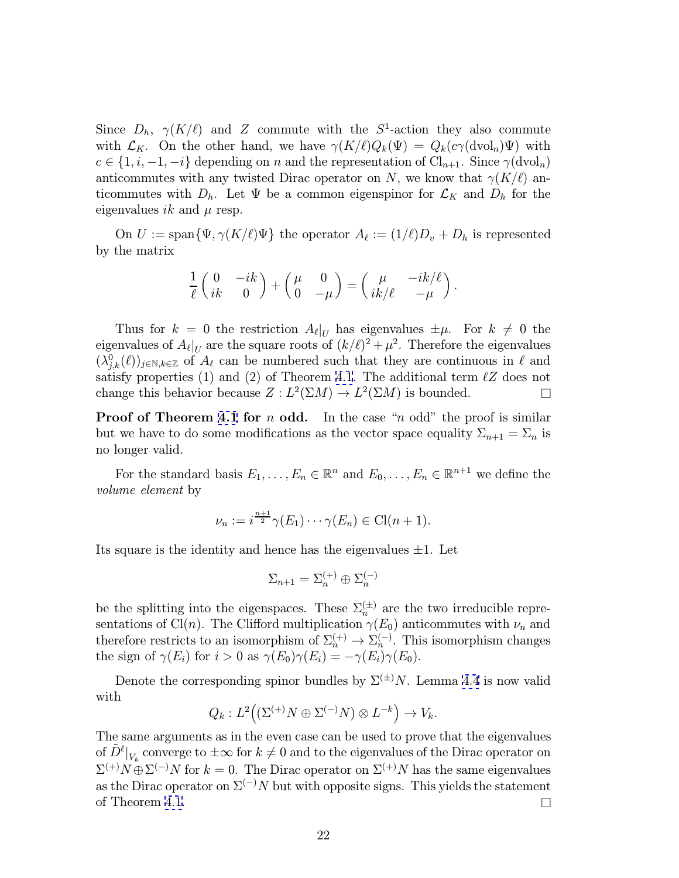Since  $D_h$ ,  $\gamma(K/\ell)$  and Z commute with the S<sup>1</sup>-action they also commute with  $\mathcal{L}_K$ . On the other hand, we have  $\gamma(K/\ell)Q_k(\Psi) = Q_k(c\gamma(\text{dvol}_n)\Psi)$  with  $c \in \{1, i, -1, -i\}$  depending on n and the representation of  $\text{Cl}_{n+1}$ . Since  $\gamma(\text{dvol}_n)$ anticommutes with any twisted Dirac operator on N, we know that  $\gamma(K/\ell)$  anticommutes with  $D_h$ . Let  $\Psi$  be a common eigenspinor for  $\mathcal{L}_K$  and  $D_h$  for the eigenvalues ik and  $\mu$  resp.

On  $U := \text{span}\{\Psi, \gamma(K/\ell)\Psi\}$  the operator  $A_{\ell} := (1/\ell)D_v + D_h$  is represented by the matrix

$$
\frac{1}{\ell} \left( \begin{array}{cc} 0 & -ik \\ ik & 0 \end{array} \right) + \left( \begin{array}{cc} \mu & 0 \\ 0 & -\mu \end{array} \right) = \left( \begin{array}{cc} \mu & -ik/\ell \\ ik/\ell & -\mu \end{array} \right).
$$

Thus for  $k = 0$  the restriction  $A_{\ell}|_U$  has eigenvalues  $\pm \mu$ . For  $k \neq 0$  the eigenvalues of  $A_{\ell}|_U$  are the square roots of  $(k/\ell)^2 + \mu^2$ . Therefore the eigenvalues  $(\lambda_{j,k}^0(\ell))_{j\in\mathbb{N},k\in\mathbb{Z}}$  of  $A_\ell$  can be numbered such that they are continuous in  $\ell$  and satisfy properties (1) and (2) of Theorem [4.1](#page-16-0). The additional term  $\ell Z$  does not change this behavior because  $Z : L^2(\Sigma M) \to L^2(\Sigma M)$  is bounded.

**Proof of Theorem [4.1](#page-16-0) for n odd.** In the case "n odd" the proof is similar but we have to do some modifications as the vector space equality  $\Sigma_{n+1} = \Sigma_n$  is no longer valid.

For the standard basis  $E_1, \ldots, E_n \in \mathbb{R}^n$  and  $E_0, \ldots, E_n \in \mathbb{R}^{n+1}$  we define the volume element by

$$
\nu_n := i^{\frac{n+1}{2}} \gamma(E_1) \cdots \gamma(E_n) \in \mathrm{Cl}(n+1).
$$

Its square is the identity and hence has the eigenvalues  $\pm 1$ . Let

$$
\Sigma_{n+1} = \Sigma_n^{(+)} \oplus \Sigma_n^{(-)}
$$

be the splitting into the eigenspaces. These  $\Sigma_n^{(\pm)}$  are the two irreducible representations of Cl(n). The Clifford multiplication  $\gamma(E_0)$  anticommutes with  $\nu_n$  and therefore restricts to an isomorphism of  $\Sigma_n^{(+)} \to \Sigma_n^{(-)}$ . This isomorphism changes the sign of  $\gamma(E_i)$  for  $i > 0$  as  $\gamma(E_0)\gamma(E_i) = -\gamma(E_i)\gamma(E_0)$ .

Denote the corresponding spinor bundles by  $\Sigma^{(\pm)}N$ . Lemma [4.4](#page-19-0) is now valid with

$$
Q_k: L^2((\Sigma^{(+)}N \oplus \Sigma^{(-)}N) \otimes L^{-k}) \to V_k.
$$

The same arguments as in the even case can be used to prove that the eigenvalues of  $\tilde{D}^{\ell}|_{V_k}$  converge to  $\pm \infty$  for  $k \neq 0$  and to the eigenvalues of the Dirac operator on  $\Sigma^{(+)}N \oplus \Sigma^{(-)}N$  for  $k = 0$ . The Dirac operator on  $\Sigma^{(+)}N$  has the same eigenvalues as the Dirac operator on  $\Sigma^{(-)}N$  but with opposite signs. This yields the statement of Theorem [4.1.](#page-16-0)  $\Box$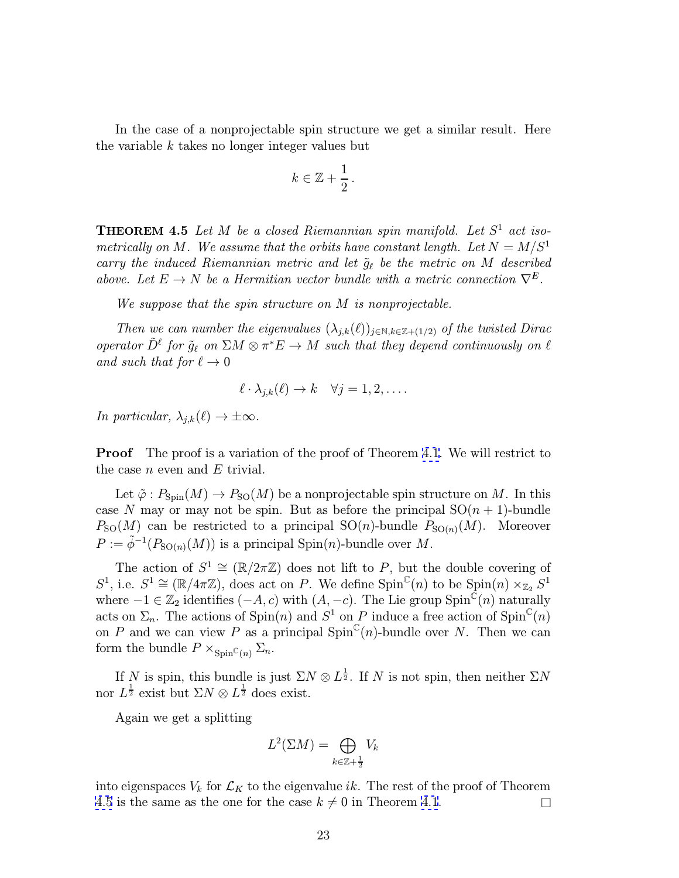<span id="page-22-0"></span>In the case of a nonprojectable spin structure we get a similar result. Here the variable  $k$  takes no longer integer values but

$$
k\in\mathbb{Z}+\frac{1}{2}.
$$

**THEOREM 4.5** Let M be a closed Riemannian spin manifold. Let  $S^1$  act isometrically on M. We assume that the orbits have constant length. Let  $N = M/S<sup>1</sup>$ carry the induced Riemannian metric and let  $\tilde{g}_{\ell}$  be the metric on M described above. Let  $E \to N$  be a Hermitian vector bundle with a metric connection  $\nabla^E$ .

We suppose that the spin structure on M is nonprojectable.

Then we can number the eigenvalues  $(\lambda_{i,k}(\ell))_{i\in\mathbb{N},k\in\mathbb{Z}+(1/2)}$  of the twisted Dirac operator  $\tilde{D}^{\ell}$  for  $\tilde{g}_{\ell}$  on  $\Sigma M \otimes \pi^*E \to M$  such that they depend continuously on  $\ell$ and such that for  $\ell \to 0$ 

$$
\ell \cdot \lambda_{j,k}(\ell) \to k \quad \forall j = 1, 2, \dots
$$

In particular,  $\lambda_{j,k}(\ell) \to \pm \infty$ .

**Proof** The proof is a variation of the proof of Theorem [4.1](#page-16-0). We will restrict to the case  $n$  even and  $E$  trivial.

Let  $\tilde{\varphi}: P_{\text{Spin}}(M) \to P_{\text{SO}}(M)$  be a nonprojectable spin structure on M. In this case N may or may not be spin. But as before the principal  $SO(n + 1)$ -bundle  $P_{\text{SO}}(M)$  can be restricted to a principal  $\text{SO}(n)$ -bundle  $P_{\text{SO}(n)}(M)$ . Moreover  $P := \tilde{\phi}^{-1}(P_{\text{SO}(n)}(M))$  is a principal Spin(n)-bundle over M.

The action of  $S^1 \cong (\mathbb{R}/2\pi\mathbb{Z})$  does not lift to P, but the double covering of S<sup>1</sup>, i.e.  $S^1 \cong (\mathbb{R}/4\pi\mathbb{Z})$ , does act on P. We define  $\text{Spin}^{\mathbb{C}}(n)$  to be  $\text{Spin}(n) \times_{\mathbb{Z}_2} S^1$ where  $-1 \in \mathbb{Z}_2$  identifies  $(-A, c)$  with  $(A, -c)$ . The Lie group Spin<sup>C</sup> $(n)$  naturally acts on  $\Sigma_n$ . The actions of  $\text{Spin}(n)$  and  $S^1$  on P induce a free action of  $\text{Spin}^{\mathbb{C}}(n)$ on P and we can view P as a principal  $Spin^{\mathbb{C}}(n)$ -bundle over N. Then we can form the bundle  $P \times_{Spin^{\mathbb{C}}(n)} \Sigma_n$ .

If N is spin, this bundle is just  $\Sigma N \otimes L^{\frac{1}{2}}$ . If N is not spin, then neither  $\Sigma N$ nor  $L^{\frac{1}{2}}$  exist but  $\Sigma N \otimes L^{\frac{1}{2}}$  does exist.

Again we get a splitting

$$
L^2(\Sigma M) = \bigoplus_{k \in \mathbb{Z}+\frac{1}{2}} V_k
$$

into eigenspaces  $V_k$  for  $\mathcal{L}_K$  to the eigenvalue *ik*. The rest of the proof of Theorem 4.5 is the same as the one for the case  $k \neq 0$  in Theorem [4.1](#page-16-0).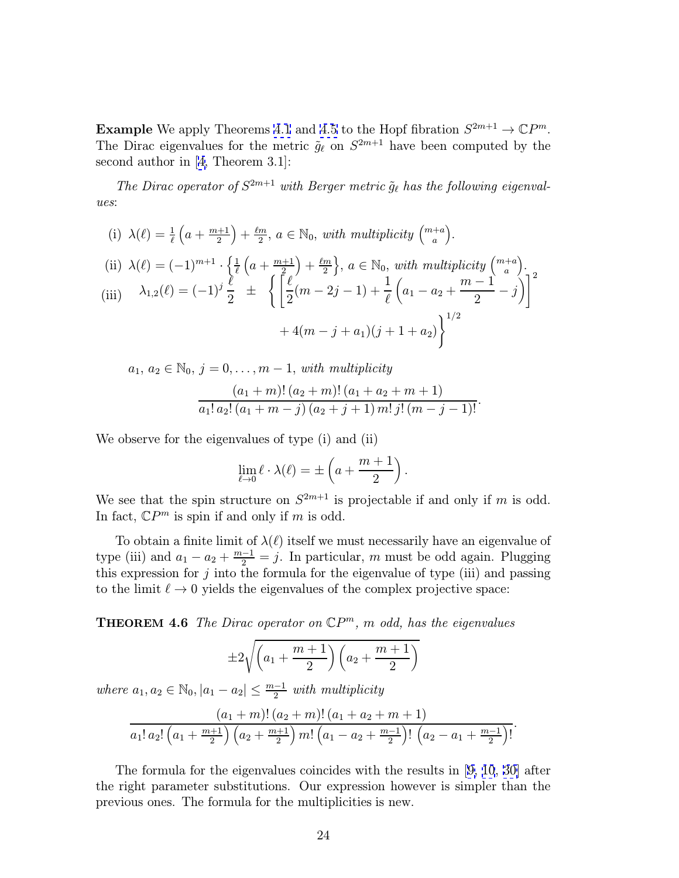<span id="page-23-0"></span>**Example** We apply Theorems [4.1](#page-16-0) and [4.5](#page-22-0) to the Hopf fibration  $S^{2m+1} \to \mathbb{C}P^m$ . The Dirac eigenvalues for the metric  $\tilde{g}_{\ell}$  on  $S^{2m+1}$  have been computed by the second author in [[4,](#page-33-0) Theorem 3.1]:

The Dirac operator of  $S^{2m+1}$  with Berger metric  $\tilde{q}_\ell$  has the following eigenvalues:

(i)  $\lambda(\ell) = \frac{1}{\ell} \left( a + \frac{m+1}{2} \right) + \frac{\ell m}{2}, a \in \mathbb{N}_0$ , with multiplicity  $\binom{m+a}{a}$  $\binom{+a}{a}$ .

(ii) 
$$
\lambda(\ell) = (-1)^{m+1} \cdot \left\{ \frac{1}{\ell} \left( a + \frac{m+1}{2} \right) + \frac{\ell m}{2} \right\}, a \in \mathbb{N}_0
$$
, with multiplicity  $\binom{m+a}{a}$ .  
\n(iii)  $\lambda_{1,2}(\ell) = (-1)^j \frac{\ell}{2} \pm \left\{ \left[ \frac{\ell}{2} (m - 2j - 1) + \frac{1}{\ell} \left( a_1 - a_2 + \frac{m-1}{2} - j \right) \right]^{2} + 4(m - j + a_1)(j + 1 + a_2) \right\}^{1/2}$ 

 $a_1, a_2 \in \mathbb{N}_0, j = 0, \ldots, m-1$ , with multiplicity

$$
\frac{(a_1+m)!(a_2+m)!(a_1+a_2+m+1)}{a_1! a_2! (a_1+m-j) (a_2+j+1) m! j! (m-j-1)!}.
$$

We observe for the eigenvalues of type (i) and (ii)

$$
\lim_{\ell \to 0} \ell \cdot \lambda(\ell) = \pm \left( a + \frac{m+1}{2} \right).
$$

We see that the spin structure on  $S^{2m+1}$  is projectable if and only if m is odd. In fact,  $\mathbb{C}P^m$  is spin if and only if m is odd.

To obtain a finite limit of  $\lambda(\ell)$  itself we must necessarily have an eigenvalue of type (iii) and  $a_1 - a_2 + \frac{m-1}{2} = j$ . In particular, m must be odd again. Plugging this expression for  $j$  into the formula for the eigenvalue of type (iii) and passing to the limit  $\ell \to 0$  yields the eigenvalues of the complex projective space:

**THEOREM 4.6** The Dirac operator on  $\mathbb{C}P^m$ , m odd, has the eigenvalues

$$
\pm 2\sqrt{\left(a_1+\frac{m+1}{2}\right)\left(a_2+\frac{m+1}{2}\right)}
$$

where  $a_1, a_2 \in \mathbb{N}_0$ ,  $|a_1 - a_2| \leq \frac{m-1}{2}$  with multiplicity

$$
\frac{(a_1+m)!\,(a_2+m)!\,(a_1+a_2+m+1)}{a_1! a_2! \left(a_1+\frac{m+1}{2}\right) \left(a_2+\frac{m+1}{2}\right)m!\left(a_1-a_2+\frac{m-1}{2}\right)!\,\left(a_2-a_1+\frac{m-1}{2}\right)!}.
$$

The formula for the eigenvalues coincides with the results in [[9, 10](#page-33-0), [30\]](#page-34-0) after the right parameter substitutions. Our expression however is simpler than the previous ones. The formula for the multiplicities is new.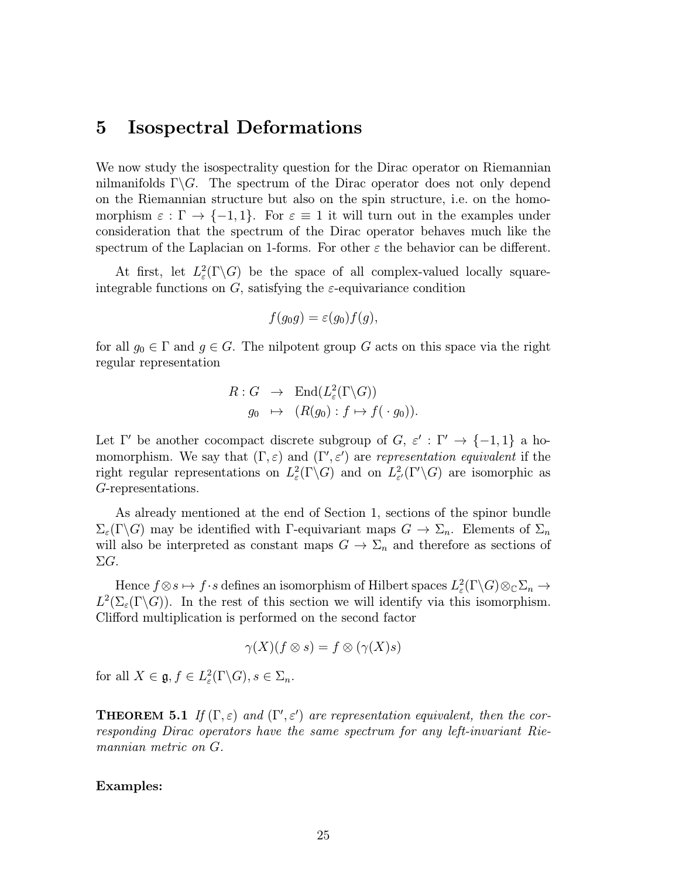#### <span id="page-24-0"></span>5 Isospectral Deformations

We now study the isospectrality question for the Dirac operator on Riemannian nilmanifolds  $\Gamma \backslash G$ . The spectrum of the Dirac operator does not only depend on the Riemannian structure but also on the spin structure, i.e. on the homomorphism  $\varepsilon : \Gamma \to \{-1,1\}$ . For  $\varepsilon \equiv 1$  it will turn out in the examples under consideration that the spectrum of the Dirac operator behaves much like the spectrum of the Laplacian on 1-forms. For other  $\varepsilon$  the behavior can be different.

At first, let  $L^2_{\varepsilon}(\Gamma \backslash G)$  be the space of all complex-valued locally squareintegrable functions on G, satisfying the  $\varepsilon$ -equivariance condition

$$
f(g_0g) = \varepsilon(g_0)f(g),
$$

for all  $g_0 \in \Gamma$  and  $g \in G$ . The nilpotent group G acts on this space via the right regular representation

$$
R: G \rightarrow \text{End}(L_{\varepsilon}^{2}(\Gamma \backslash G))
$$

$$
g_{0} \mapsto (R(g_{0}): f \mapsto f(\cdot g_{0})).
$$

Let Γ' be another cocompact discrete subgroup of  $G, \varepsilon' : \Gamma' \to \{-1, 1\}$  a homomorphism. We say that  $(\Gamma, \varepsilon)$  and  $(\Gamma', \varepsilon')$  are representation equivalent if the right regular representations on  $L^2_{\varepsilon}(\Gamma \backslash G)$  and on  $L^2_{\varepsilon'}(\Gamma' \backslash G)$  are isomorphic as G-representations.

As already mentioned at the end of Section 1, sections of the spinor bundle  $\Sigma_{\varepsilon}(\Gamma \backslash G)$  may be identified with Γ-equivariant maps  $G \to \Sigma_n$ . Elements of  $\Sigma_n$ will also be interpreted as constant maps  $G \to \Sigma_n$  and therefore as sections of ΣG.

Hence  $f \otimes s \mapsto f \cdot s$  defines an isomorphism of Hilbert spaces  $L^2_{\varepsilon}(\Gamma \backslash G) \otimes_{\mathbb{C}} \Sigma_n \to$  $L^2(\Sigma_{\varepsilon}(\Gamma \backslash G))$ . In the rest of this section we will identify via this isomorphism. Clifford multiplication is performed on the second factor

$$
\gamma(X)(f \otimes s) = f \otimes (\gamma(X)s)
$$

for all  $X \in \mathfrak{g}, f \in L^2_{\varepsilon}(\Gamma \backslash G), s \in \Sigma_n$ .

**THEOREM 5.1** If  $(\Gamma, \varepsilon)$  and  $(\Gamma', \varepsilon')$  are representation equivalent, then the corresponding Dirac operators have the same spectrum for any left-invariant Riemannian metric on G.

#### Examples: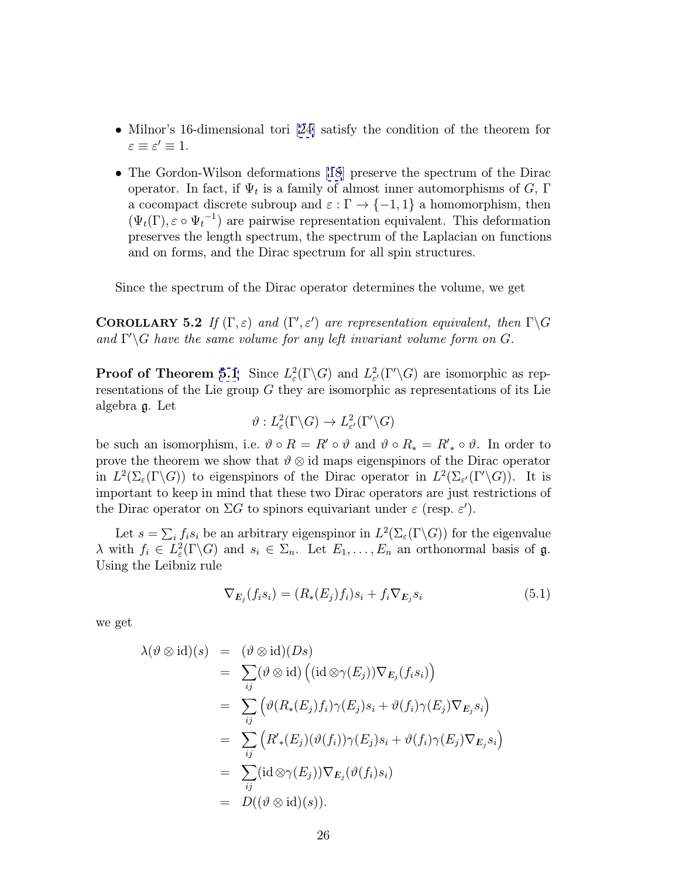- <span id="page-25-0"></span>• Milnor's 16-dimensional tori [[24\]](#page-34-0) satisfy the condition of the theorem for  $\varepsilon \equiv \varepsilon' \equiv 1.$
- The Gordon-Wilson deformations [\[18](#page-33-0)] preserve the spectrum of the Dirac operator. In fact, if  $\Psi_t$  is a family of almost inner automorphisms of G,  $\Gamma$ a cocompact discrete subroup and  $\varepsilon : \Gamma \to \{-1, 1\}$  a homomorphism, then  $(\Psi_t(\Gamma), \varepsilon \circ \Psi_t^{-1})$  are pairwise representation equivalent. This deformation preserves the length spectrum, the spectrum of the Laplacian on functions and on forms, and the Dirac spectrum for all spin structures.

Since the spectrum of the Dirac operator determines the volume, we get

**COROLLARY 5.2** If  $(\Gamma, \varepsilon)$  and  $(\Gamma', \varepsilon')$  are representation equivalent, then  $\Gamma \backslash G$ and  $\Gamma \backslash G$  have the same volume for any left invariant volume form on  $G$ .

**Proof of Theorem [5.1](#page-24-0)** Since  $L^2_{\varepsilon}(\Gamma \backslash G)$  and  $L^2_{\varepsilon'}(\Gamma' \backslash G)$  are isomorphic as representations of the Lie group G they are isomorphic as representations of its Lie algebra g. Let

$$
\vartheta: L^2_{\varepsilon}(\Gamma \backslash G) \to L^2_{\varepsilon'}(\Gamma' \backslash G)
$$

be such an isomorphism, i.e.  $\vartheta \circ R = R' \circ \vartheta$  and  $\vartheta \circ R_* = R'_* \circ \vartheta$ . In order to prove the theorem we show that  $\vartheta \otimes id$  maps eigenspinors of the Dirac operator in  $L^2(\Sigma_\varepsilon(\Gamma \backslash G))$  to eigenspinors of the Dirac operator in  $L^2(\Sigma_{\varepsilon'}(\Gamma' \backslash G))$ . It is important to keep in mind that these two Dirac operators are just restrictions of the Dirac operator on  $\Sigma G$  to spinors equivariant under  $\varepsilon$  (resp.  $\varepsilon'$ ).

Let  $s = \sum_i f_i s_i$  be an arbitrary eigenspinor in  $L^2(\Sigma_\varepsilon(\Gamma \backslash G))$  for the eigenvalue  $\lambda$  with  $f_i \in L^2_{\varepsilon}(\Gamma \backslash G)$  and  $s_i \in \Sigma_n$ . Let  $E_1, \ldots, E_n$  an orthonormal basis of  $\mathfrak{g}$ . Using the Leibniz rule

$$
\nabla_{E_j}(f_i s_i) = (R_*(E_j)f_i)s_i + f_i \nabla_{E_j} s_i \tag{5.1}
$$

we get

$$
\lambda(\vartheta \otimes id)(s) = (\vartheta \otimes id)(Ds)
$$
  
\n
$$
= \sum_{ij} (\vartheta \otimes id) ((id \otimes \gamma(E_j)) \nabla_{E_j}(f_i s_i))
$$
  
\n
$$
= \sum_{ij} (\vartheta(R_*(E_j) f_i) \gamma(E_j) s_i + \vartheta(f_i) \gamma(E_j) \nabla_{E_j} s_i)
$$
  
\n
$$
= \sum_{ij} (R'_*(E_j) (\vartheta(f_i)) \gamma(E_j) s_i + \vartheta(f_i) \gamma(E_j) \nabla_{E_j} s_i)
$$
  
\n
$$
= \sum_{ij} (id \otimes \gamma(E_j)) \nabla_{E_j} (\vartheta(f_i) s_i)
$$
  
\n
$$
= D((\vartheta \otimes id)(s)).
$$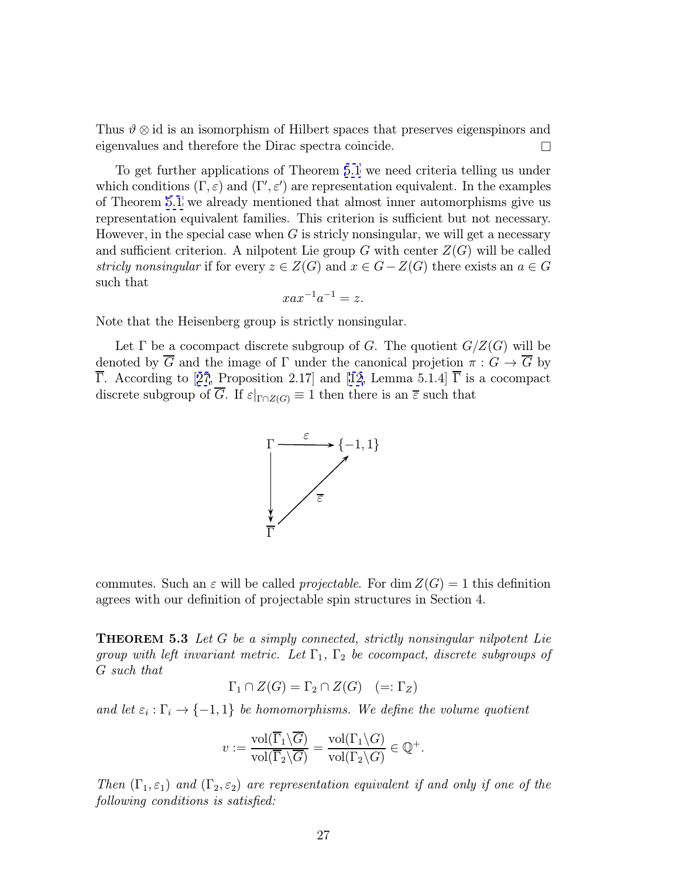<span id="page-26-0"></span>Thus  $\vartheta \otimes id$  is an isomorphism of Hilbert spaces that preserves eigenspinors and eigenvalues and therefore the Dirac spectra coincide.

To get further applications of Theorem [5.1](#page-24-0) we need criteria telling us under which conditions  $(\Gamma, \varepsilon)$  and  $(\Gamma', \varepsilon')$  are representation equivalent. In the examples of Theorem [5.1](#page-24-0) we already mentioned that almost inner automorphisms give us representation equivalent families. This criterion is sufficient but not necessary. However, in the special case when  $G$  is stricly nonsingular, we will get a necessary and sufficient criterion. A nilpotent Lie group G with center  $Z(G)$  will be called stricly nonsingular if for every  $z \in Z(G)$  and  $x \in G-Z(G)$  there exists an  $a \in G$ such that

$$
xax^{-1}a^{-1} = z.
$$

Note that the Heisenberg group is strictly nonsingular.

Let  $\Gamma$  be a cocompact discrete subgroup of G. The quotient  $G/Z(G)$  will be denoted by  $\overline{G}$  and the image of  $\Gamma$  under the canonical projetion  $\pi: G \to \overline{G}$  by  $\overline{\Gamma}$ . According to [[27](#page-34-0), Proposition 2.17] and [\[12,](#page-33-0) Lemma 5.1.4]  $\overline{\Gamma}$  is a cocompact discrete subgroup of  $\overline{G}$ . If  $\varepsilon|_{\Gamma \cap Z(G)} \equiv 1$  then there is an  $\overline{\varepsilon}$  such that



commutes. Such an  $\varepsilon$  will be called *projectable*. For dim  $Z(G) = 1$  this definition agrees with our definition of projectable spin structures in Section 4.

**THEOREM 5.3** Let G be a simply connected, strictly nonsingular nilpotent Lie group with left invariant metric. Let  $\Gamma_1$ ,  $\Gamma_2$  be cocompact, discrete subgroups of G such that

$$
\Gamma_1 \cap Z(G) = \Gamma_2 \cap Z(G) \quad (=: \Gamma_Z)
$$

and let  $\varepsilon_i : \Gamma_i \to \{-1,1\}$  be homomorphisms. We define the volume quotient

$$
v := \frac{\text{vol}(\overline{\Gamma}_1 \backslash \overline{G})}{\text{vol}(\overline{\Gamma}_2 \backslash \overline{G})} = \frac{\text{vol}(\Gamma_1 \backslash G)}{\text{vol}(\Gamma_2 \backslash G)} \in \mathbb{Q}^+.
$$

Then  $(\Gamma_1, \varepsilon_1)$  and  $(\Gamma_2, \varepsilon_2)$  are representation equivalent if and only if one of the following conditions is satisfied: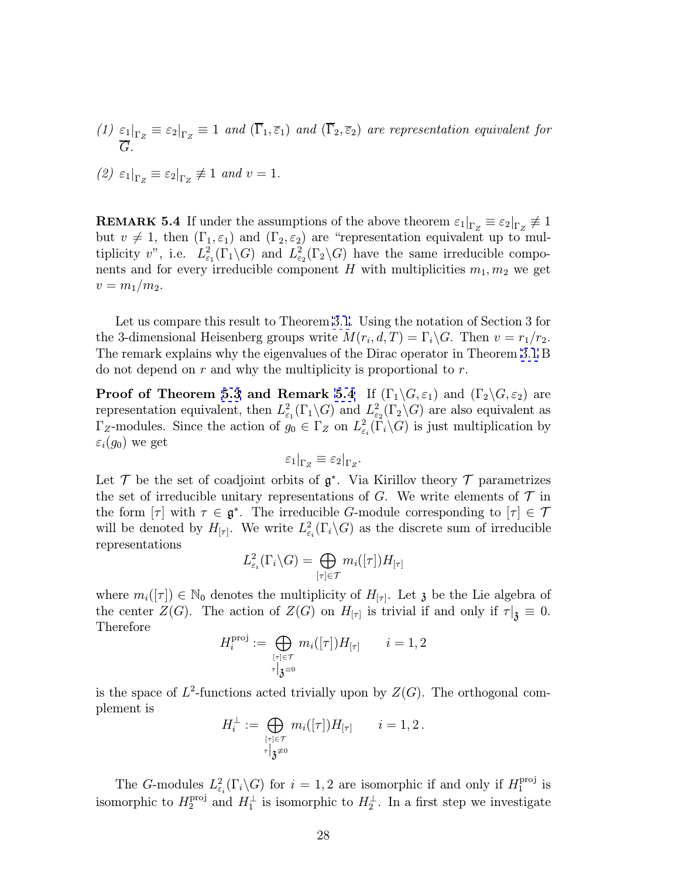<span id="page-27-0"></span>(1)  $\varepsilon_1|_{\Gamma_Z} \equiv \varepsilon_2|_{\Gamma_Z} \equiv 1$  and  $(\overline{\Gamma}_1, \overline{\varepsilon}_1)$  and  $(\overline{\Gamma}_2, \overline{\varepsilon}_2)$  are representation equivalent for  $\overline{G}.$ 

$$
(2) \varepsilon_1|_{\Gamma_Z} \equiv \varepsilon_2|_{\Gamma_Z} \not\equiv 1 \text{ and } v = 1.
$$

**REMARK 5.4** If under the assumptions of the above theorem  $\varepsilon_1|_{\Gamma_Z} \equiv \varepsilon_2|_{\Gamma_Z} \not\equiv 1$ but  $v \neq 1$ , then  $(\Gamma_1, \varepsilon_1)$  and  $(\Gamma_2, \varepsilon_2)$  are "representation equivalent up to multiplicity v", i.e.  $L^2_{\varepsilon_1}(\Gamma_1 \backslash G)$  and  $L^2_{\varepsilon_2}(\Gamma_2 \backslash G)$  have the same irreducible components and for every irreducible component H with multiplicities  $m_1, m_2$  we get  $v = m_1/m_2$ .

Let us compare this result to Theorem [3.1](#page-14-0). Using the notation of Section 3 for the 3-dimensional Heisenberg groups write  $M(r_i, d, T) = \Gamma_i \backslash G$ . Then  $v = r_1/r_2$ . The remark explains why the eigenvalues of the Dirac operator in Theorem [3.1](#page-14-0) B do not depend on  $r$  and why the multiplicity is proportional to  $r$ .

**Proof of Theorem [5.3](#page-26-0) and Remark 5.4** If  $(\Gamma_1 \backslash G, \varepsilon_1)$  and  $(\Gamma_2 \backslash G, \varepsilon_2)$  are representation equivalent, then  $L^2_{\varepsilon_1}(\Gamma_1 \backslash G)$  and  $L^2_{\varepsilon_2}(\Gamma_2 \backslash G)$  are also equivalent as  $\Gamma_Z$ -modules. Since the action of  $g_0 \in \Gamma_Z$  on  $L^2_{\varepsilon_i}(\overline{\Gamma}_i \backslash G)$  is just multiplication by  $\varepsilon_i(g_0)$  we get

$$
\varepsilon_1|_{\Gamma_Z} \equiv \varepsilon_2|_{\Gamma_Z}.
$$

Let  $\mathcal T$  be the set of coadjoint orbits of  $\mathfrak g^*$ . Via Kirillov theory  $\mathcal T$  parametrizes the set of irreducible unitary representations of G. We write elements of  $\mathcal T$  in the form  $[\tau]$  with  $\tau \in \mathfrak{g}^*$ . The irreducible G-module corresponding to  $[\tau] \in \mathcal{T}$ will be denoted by  $H_{[\tau]}$ . We write  $L^2_{\varepsilon_i}(\Gamma_i\backslash G)$  as the discrete sum of irreducible representations

$$
L^2_{\varepsilon_i}(\Gamma_i \backslash G) = \bigoplus_{[\tau] \in \mathcal{T}} m_i([\tau]) H_{[\tau]}
$$

where  $m_i([\tau]) \in \mathbb{N}_0$  denotes the multiplicity of  $H_{[\tau]}$ . Let  $\mathfrak z$  be the Lie algebra of the center  $Z(G)$ . The action of  $Z(G)$  on  $H_{[\tau]}$  is trivial if and only if  $\tau|_{\mathfrak{z}} \equiv 0$ . Therefore

$$
H_i^{\text{proj}} := \bigoplus_{\stackrel{[\tau]\in\mathcal{T}}{\tau\,\big|\mathfrak{z}^=0}} m_i([\tau]) H_{[\tau]} \qquad i=1,2
$$

is the space of  $L^2$ -functions acted trivially upon by  $Z(G)$ . The orthogonal complement is

$$
H_i^\perp:=\bigoplus_{[\tau]\in\mathcal{T}\atop \tau\big|{\mathfrak{z}}\neq 0}m_i([\tau])H_{[\tau]} \qquad i=1,2\,.
$$

The G-modules  $L^2_{\varepsilon_i}(\Gamma_i\backslash G)$  for  $i=1,2$  are isomorphic if and only if  $H_1^{\text{proj}}$  is isomorphic to  $H_2^{\text{proj}}$  and  $H_1^{\perp}$  is isomorphic to  $H_2^{\perp}$ . In a first step we investigate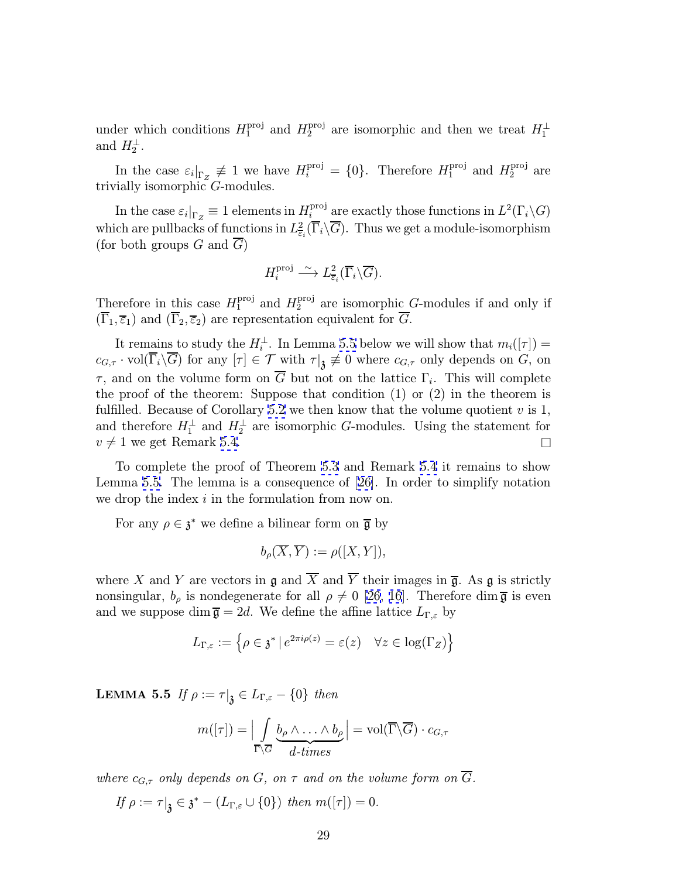<span id="page-28-0"></span>under which conditions  $H_1^{\text{proj}}$  and  $H_2^{\text{proj}}$  are isomorphic and then we treat  $H_1^{\perp}$ and  $H_2^{\perp}$ .

In the case  $\varepsilon_i|_{\Gamma_Z} \neq 1$  we have  $H_i^{\text{proj}} = \{0\}$ . Therefore  $H_1^{\text{proj}}$  and  $H_2^{\text{proj}}$  are trivially isomorphic  $G$ -modules.

In the case  $\varepsilon_i|_{\Gamma_Z} \equiv 1$  elements in  $H_i^{\text{proj}}$  are exactly those functions in  $L^2(\Gamma_i \backslash G)$ which are pullbacks of functions in  $L^2_{\overline{\epsilon}_i}(\overline{\Gamma}_i\backslash\overline{G})$ . Thus we get a module-isomorphism (for both groups  $G$  and  $G$ )

$$
H_i^{\text{proj}} \xrightarrow{\sim} L^2_{\overline{\varepsilon}_i}(\overline{\Gamma}_i \backslash \overline{G}).
$$

Therefore in this case  $H_1^{\text{proj}}$  and  $H_2^{\text{proj}}$  are isomorphic G-modules if and only if  $(\overline{\Gamma}_1, \overline{\varepsilon}_1)$  and  $(\overline{\Gamma}_2, \overline{\varepsilon}_2)$  are representation equivalent for G.

It remains to study the  $H_i^{\perp}$ . In Lemma 5.5 below we will show that  $m_i([\tau]) =$  $c_{G,\tau} \cdot \text{vol}(\overline{\Gamma}_i \backslash \overline{G})$  for any  $[\tau] \in \mathcal{T}$  with  $\tau|_{\mathfrak{Z}} \not\equiv 0$  where  $c_{G,\tau}$  only depends on  $G$ , on τ, and on the volume form on  $\overline{G}$  but not on the lattice Γ<sub>i</sub>. This will complete the proof of the theorem: Suppose that condition  $(1)$  or  $(2)$  in the theorem is fulfilled. Because of Corollary [5.2](#page-25-0) we then know that the volume quotient  $v$  is 1, and therefore  $H_1^{\perp}$  and  $H_2^{\perp}$  are isomorphic G-modules. Using the statement for  $v \neq 1$  we get Remark [5.4.](#page-27-0)

To complete the proof of Theorem [5.3](#page-26-0) and Remark [5.4](#page-27-0) it remains to show Lemma 5.5. The lemma is a consequence of [[26\]](#page-34-0). In order to simplify notation we drop the index i in the formulation from now on.

For any  $\rho \in \mathfrak{z}^*$  we define a bilinear form on  $\overline{\mathfrak{g}}$  by

$$
b_{\rho}(\overline{X},\overline{Y}) := \rho([X,Y]),
$$

where X and Y are vectors in  $\mathfrak g$  and  $\overline X$  and  $\overline Y$  their images in  $\overline{\mathfrak g}$ . As  $\mathfrak g$  is strictly nonsingular,  $b_{\rho}$  is nondegenerate for all  $\rho \neq 0$  [\[26,](#page-34-0) [16](#page-33-0)]. Therefore dim  $\bar{\mathfrak{g}}$  is even and we suppose dim  $\overline{\mathfrak{g}} = 2d$ . We define the affine lattice  $L_{\Gamma, \varepsilon}$  by

$$
L_{\Gamma,\varepsilon} := \left\{ \rho \in \mathfrak{z}^* \, | \, e^{2\pi i \rho(z)} = \varepsilon(z) \quad \forall z \in \log(\Gamma_Z) \right\}
$$

**LEMMA 5.5** If  $\rho := \tau|_{\mathfrak{Z}} \in L_{\Gamma,\varepsilon} - \{0\}$  then

$$
m([\tau]) = \Bigl| \int\limits_{\overline{\Gamma} \setminus \overline{G}} \underbrace{b_\rho \wedge \ldots \wedge b_\rho}_{d-times} \Bigr| = \mathrm{vol}(\overline{\Gamma} \backslash \overline{G}) \cdot c_{G,\tau}
$$

where  $c_{G,\tau}$  only depends on G, on  $\tau$  and on the volume form on  $\overline{G}$ .

If  $\rho := \tau |_{\mathfrak{Z}} \in \mathfrak{z}^* - (L_{\Gamma,\varepsilon} \cup \{0\})$  then  $m([\tau]) = 0$ .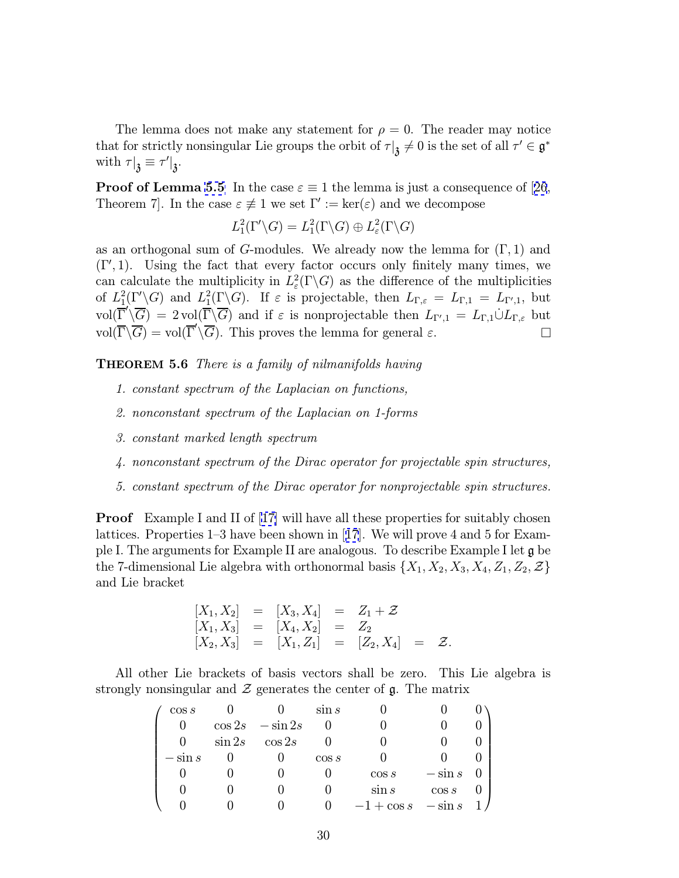The lemma does not make any statement for  $\rho = 0$ . The reader may notice that for strictly nonsingular Lie groups the orbit of  $\tau|_{\mathfrak{Z}}\neq 0$  is the set of all  $\tau'\in \mathfrak{g}^*$ with  $\tau|_{\mathfrak{z}} \equiv \tau'|_{\mathfrak{z}}.$ 

**Proof of Lemma [5.5](#page-28-0)** In the case  $\varepsilon \equiv 1$  the lemma is just a consequence of [[26](#page-34-0), Theorem 7. In the case  $\varepsilon \neq 1$  we set  $\Gamma' := \ker(\varepsilon)$  and we decompose

$$
L_1^2(\Gamma'\backslash G) = L_1^2(\Gamma\backslash G) \oplus L_\varepsilon^2(\Gamma\backslash G)
$$

as an orthogonal sum of G-modules. We already now the lemma for  $(\Gamma, 1)$  and  $(\Gamma', 1)$ . Using the fact that every factor occurs only finitely many times, we can calculate the multiplicity in  $L^2_{\varepsilon}(\Gamma \backslash G)$  as the difference of the multiplicities of  $L_1^2(\Gamma'\backslash G)$  and  $L_1^2(\Gamma\backslash G)$ . If  $\varepsilon$  is projectable, then  $L_{\Gamma,\varepsilon} = L_{\Gamma,1} = L_{\Gamma',1}$ , but  $vol(\overline{\Gamma}'\backslash\overline{G}) = 2vol(\overline{\Gamma}\backslash\overline{G})$  and if  $\varepsilon$  is nonprojectable then  $L_{\Gamma',1} = L_{\Gamma,1} \cup L_{\Gamma,\varepsilon}$  but  $vol(\overline{\Gamma}\backslash\overline{G}) = vol(\overline{\Gamma}'\backslash\overline{G})$ . This proves the lemma for general  $\varepsilon$ .

THEOREM 5.6 There is a family of nilmanifolds having

- 1. constant spectrum of the Laplacian on functions,
- 2. nonconstant spectrum of the Laplacian on 1-forms
- 3. constant marked length spectrum
- 4. nonconstant spectrum of the Dirac operator for projectable spin structures,
- 5. constant spectrum of the Dirac operator for nonprojectable spin structures.

**Proof** Example I and II of [\[17\]](#page-33-0) will have all these properties for suitably chosen lattices. Properties 1–3 have been shown in [[17](#page-33-0)]. We will prove 4 and 5 for Example I. The arguments for Example II are analogous. To describe Example I let g be the 7-dimensional Lie algebra with orthonormal basis  $\{X_1, X_2, X_3, X_4, Z_1, Z_2, Z\}$ and Lie bracket

$$
\begin{array}{rcl}\n[X_1, X_2] & = & [X_3, X_4] & = & Z_1 + \mathcal{Z} \\
[X_1, X_3] & = & [X_4, X_2] & = & Z_2 \\
[X_2, X_3] & = & [X_1, Z_1] & = & [Z_2, X_4] & = & \mathcal{Z}.\n\end{array}
$$

All other Lie brackets of basis vectors shall be zero. This Lie algebra is strongly nonsingular and  $\mathcal Z$  generates the center of  $\mathfrak g$ . The matrix

| $\cos s$  |           |                     | $\sin s$ |               |           |  |
|-----------|-----------|---------------------|----------|---------------|-----------|--|
|           |           | $\cos 2s - \sin 2s$ |          |               |           |  |
|           | $\sin 2s$ | $\cos 2s$           |          |               |           |  |
| $-\sin s$ |           |                     | $\cos s$ |               |           |  |
|           |           |                     |          | $\cos s$      | $-\sin s$ |  |
|           |           |                     |          | $\sin s$      | $\cos s$  |  |
|           |           |                     |          | $-1 + \cos s$ | $-\sin s$ |  |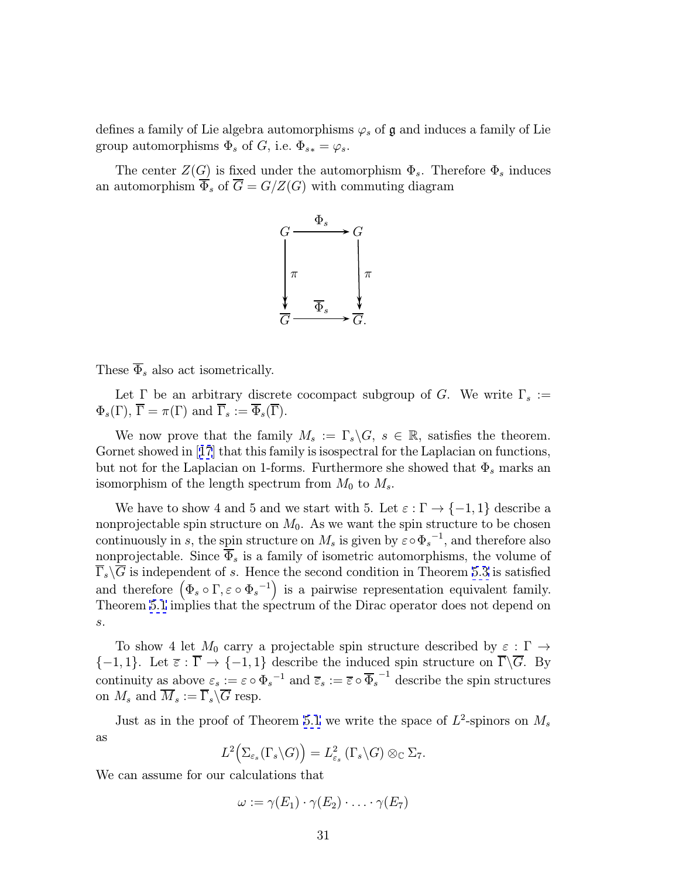defines a family of Lie algebra automorphisms  $\varphi_s$  of  $\mathfrak g$  and induces a family of Lie group automorphisms  $\Phi_s$  of G, i.e.  $\Phi_{s*} = \varphi_s$ .

The center  $Z(G)$  is fixed under the automorphism  $\Phi_s$ . Therefore  $\Phi_s$  induces an automorphism  $\overline{\Phi}_s$  of  $\overline{G} = G/Z(G)$  with commuting diagram



These  $\overline{\Phi}_s$  also act isometrically.

Let  $\Gamma$  be an arbitrary discrete cocompact subgroup of G. We write  $\Gamma_s :=$  $\Phi_s(\Gamma), \overline{\Gamma} = \pi(\Gamma)$  and  $\overline{\Gamma}_s := \overline{\Phi}_s(\overline{\Gamma}).$ 

We now prove that the family  $M_s := \Gamma_s \backslash G$ ,  $s \in \mathbb{R}$ , satisfies the theorem. Gornet showed in [[17](#page-33-0)] that this family is isospectral for the Laplacian on functions, but not for the Laplacian on 1-forms. Furthermore she showed that  $\Phi_s$  marks an isomorphism of the length spectrum from  $M_0$  to  $M_s$ .

We have to show 4 and 5 and we start with 5. Let  $\varepsilon : \Gamma \to \{-1, 1\}$  describe a nonprojectable spin structure on  $M_0$ . As we want the spin structure to be chosen continuously in s, the spin structure on  $M_s$  is given by  $\varepsilon \circ \Phi_s^{-1}$ , and therefore also nonprojectable. Since  $\overline{\Phi}_s$  is a family of isometric automorphisms, the volume of  $\overline{\Gamma}_s \backslash \overline{G}$  is independent of s. Hence the second condition in Theorem [5.3](#page-26-0) is satisfied and therefore  $(\Phi_s \circ \Gamma, \varepsilon \circ {\Phi_s}^{-1})$  is a pairwise representation equivalent family. Theorem [5.1](#page-24-0) implies that the spectrum of the Dirac operator does not depend on s.

To show 4 let  $M_0$  carry a projectable spin structure described by  $\varepsilon : \Gamma \to$  ${-1, 1}$ . Let  $\overline{\varepsilon} : \overline{\Gamma} \to {-1, 1}$  describe the induced spin structure on  $\overline{\Gamma} \backslash \overline{G}$ . By continuity as above  $\varepsilon_s := \varepsilon \circ \Phi_s^{-1}$  and  $\overline{\varepsilon}_s := \overline{\varepsilon} \circ \overline{\Phi}_s^{-1}$  describe the spin structures on  $M_s$  and  $\overline{M}_s := \overline{\Gamma}_s \backslash \overline{G}$  resp.

Just as in the proof of Theorem [5.1](#page-24-0) we write the space of  $L^2$ -spinors on  $M_s$ as

$$
L^2\big(\Sigma_{\varepsilon_s}(\Gamma_s \backslash G)\big) = L^2_{\varepsilon_s}(\Gamma_s \backslash G) \otimes_{\mathbb{C}} \Sigma_7.
$$

We can assume for our calculations that

 $\omega := \gamma(E_1) \cdot \gamma(E_2) \cdot \ldots \cdot \gamma(E_7)$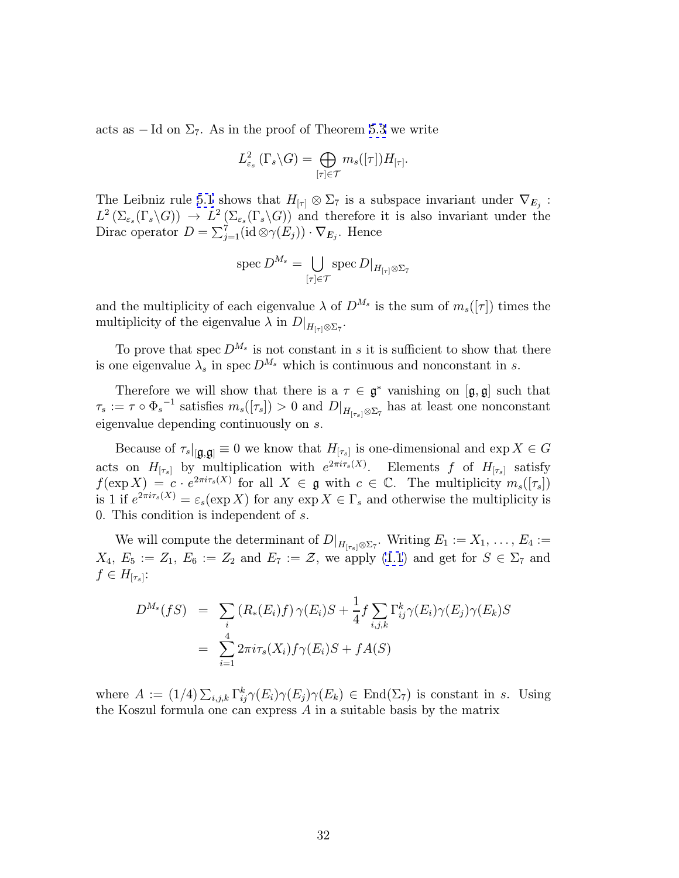acts as  $-$  Id on  $\Sigma$ <sub>7</sub>. As in the proof of Theorem [5.3](#page-26-0) we write

$$
L^2_{\varepsilon_s}\left(\Gamma_s\backslash G\right)=\bigoplus_{[\tau]\in\mathcal{T}}m_s([\tau])H_{[\tau]}.
$$

The Leibniz rule [5.1](#page-24-0) shows that  $H_{[\tau]} \otimes \Sigma_{7}$  is a subspace invariant under  $\nabla_{E_i}$ :  $L^2(\Sigma_{\varepsilon_s}(\Gamma_s\backslash G)) \to L^2(\Sigma_{\varepsilon_s}(\Gamma_s\backslash G))$  and therefore it is also invariant under the Dirac operator  $D = \sum_{j=1}^{7} (\text{id} \otimes \gamma(E_j)) \cdot \nabla_{E_j}$ . Hence

$$
\operatorname{spec} D^{M_s} = \bigcup_{[\tau]\in\mathcal{T}} \operatorname{spec} D|_{H_{[\tau]}\otimes\Sigma_{\mathcal{T}}}
$$

and the multiplicity of each eigenvalue  $\lambda$  of  $D^{M_s}$  is the sum of  $m_s(|\tau|)$  times the multiplicity of the eigenvalue  $\lambda$  in  $D|_{H_{[\tau]}\otimes\Sigma_7}$ .

To prove that spec  $D^{M_s}$  is not constant in s it is sufficient to show that there is one eigenvalue  $\lambda_s$  in spec  $D^{M_s}$  which is continuous and nonconstant in s.

Therefore we will show that there is a  $\tau \in \mathfrak{g}^*$  vanishing on  $[\mathfrak{g}, \mathfrak{g}]$  such that  $\tau_s := \tau \circ \Phi_s^{-1}$  satisfies  $m_s([\tau_s]) > 0$  and  $D|_{H_{[\tau_s]}\otimes\Sigma_7}$  has at least one nonconstant eigenvalue depending continuously on s.

Because of  $\tau_s|_{[\mathbf{g},\mathbf{g}]} \equiv 0$  we know that  $H_{[\tau_s]}$  is one-dimensional and  $\exp X \in G$ acts on  $H_{[\tau_s]}$  by multiplication with  $e^{2\pi i \tau_s(X)}$ . Elements f of  $H_{[\tau_s]}$  satisfy  $f(\exp X) = c \cdot e^{2\pi i \tau_s(X)}$  for all  $X \in \mathfrak{g}$  with  $c \in \mathbb{C}$ . The multiplicity  $m_s([\tau_s])$ is 1 if  $e^{2\pi i \tau_s(X)} = \varepsilon_s(\exp X)$  for any  $\exp X \in \Gamma_s$  and otherwise the multiplicity is 0. This condition is independent of s.

We will compute the determinant of  $D|_{H_{[\tau_s]}\otimes\Sigma_7}$ . Writing  $E_1:=X_1,\ldots,E_4:=$  $X_4, E_5 := Z_1, E_6 := Z_2$  and  $E_7 := \mathcal{Z}$ , we apply [\(1.1](#page-4-0)) and get for  $S \in \Sigma_7$  and  $f \in H_{[\tau_s]}$ :

$$
D^{M_s}(fS) = \sum_i (R_*(E_i)f) \gamma(E_i)S + \frac{1}{4}f \sum_{i,j,k} \Gamma_{ij}^k \gamma(E_i) \gamma(E_j) \gamma(E_k)S
$$
  
= 
$$
\sum_{i=1}^4 2\pi i \tau_s(X_i) f \gamma(E_i)S + f A(S)
$$

where  $A := (1/4) \sum_{i,j,k} \Gamma_{ij}^k \gamma(E_i) \gamma(E_j) \gamma(E_k) \in \text{End}(\Sigma_7)$  is constant in s. Using the Koszul formula one can express A in a suitable basis by the matrix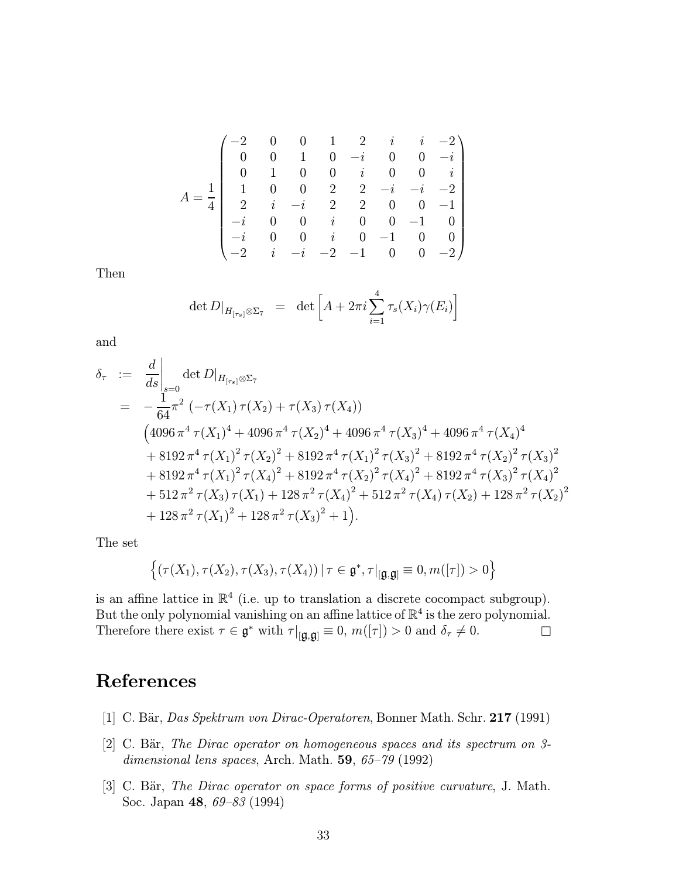<span id="page-32-0"></span>
$$
A = \frac{1}{4} \begin{pmatrix} -2 & 0 & 0 & 1 & 2 & i & i & -2 \\ 0 & 0 & 1 & 0 & -i & 0 & 0 & -i \\ 0 & 1 & 0 & 0 & i & 0 & 0 & i \\ 1 & 0 & 0 & 2 & 2 & -i & -i & -2 \\ 2 & i & -i & 2 & 2 & 0 & 0 & -1 \\ -i & 0 & 0 & i & 0 & 0 & -1 & 0 \\ -i & 0 & 0 & i & 0 & -1 & 0 & 0 \\ -2 & i & -i & -2 & -1 & 0 & 0 & -2 \end{pmatrix}
$$

Then

$$
\det D|_{H_{[\tau_s]}\otimes\Sigma_7} = \det \left[ A + 2\pi i \sum_{i=1}^4 \tau_s(X_i)\gamma(E_i) \right]
$$

and

$$
\delta_{\tau} := \frac{d}{ds}\Big|_{s=0} \det D|_{H_{[\tau_s]}\otimes \Sigma_{7}}
$$
\n
$$
= -\frac{1}{64}\pi^2 \left( -\tau(X_1)\tau(X_2) + \tau(X_3)\tau(X_4) \right)
$$
\n
$$
\left( 4096 \pi^4 \tau(X_1)^4 + 4096 \pi^4 \tau(X_2)^4 + 4096 \pi^4 \tau(X_3)^4 + 4096 \pi^4 \tau(X_4)^4
$$
\n
$$
+ 8192 \pi^4 \tau(X_1)^2 \tau(X_2)^2 + 8192 \pi^4 \tau(X_1)^2 \tau(X_3)^2 + 8192 \pi^4 \tau(X_2)^2 \tau(X_3)^2
$$
\n
$$
+ 8192 \pi^4 \tau(X_1)^2 \tau(X_4)^2 + 8192 \pi^4 \tau(X_2)^2 \tau(X_4)^2 + 8192 \pi^4 \tau(X_3)^2 \tau(X_4)^2
$$
\n
$$
+ 512 \pi^2 \tau(X_3) \tau(X_1) + 128 \pi^2 \tau(X_4)^2 + 512 \pi^2 \tau(X_4) \tau(X_2) + 128 \pi^2 \tau(X_2)^2
$$
\n
$$
+ 128 \pi^2 \tau(X_1)^2 + 128 \pi^2 \tau(X_3)^2 + 1 \Big).
$$

The set

$$
\left\{(\tau(X_1),\tau(X_2),\tau(X_3),\tau(X_4))\,|\,\tau\in\mathfrak{g}^*,\tau|_{[\mathfrak{g},\mathfrak{g}]}\equiv 0,m([\tau])>0\right\}
$$

is an affine lattice in  $\mathbb{R}^4$  (i.e. up to translation a discrete cocompact subgroup). But the only polynomial vanishing on an affine lattice of  $\mathbb{R}^4$  is the zero polynomial. Therefore there exist  $\tau \in \mathfrak{g}^*$  with  $\tau|_{[\mathfrak{g},\mathfrak{g}]} \equiv 0$ ,  $m([\tau]) > 0$  and  $\delta_{\tau} \neq 0$ .

# References

- [1] C. Bär, Das Spektrum von Dirac-Operatoren, Bonner Math. Schr. 217 (1991)
- [2] C. Bär, The Dirac operator on homogeneous spaces and its spectrum on 3dimensional lens spaces, Arch. Math. 59, 65–79 (1992)
- [3] C. Bär, The Dirac operator on space forms of positive curvature, J. Math. Soc. Japan 48, 69–83 (1994)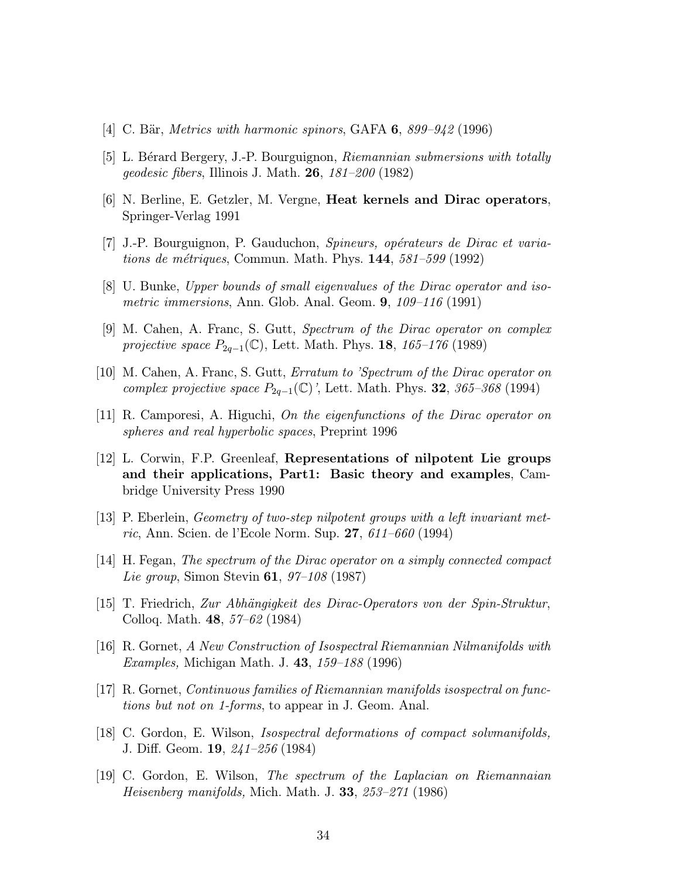- <span id="page-33-0"></span>[4] C. Bär, Metrics with harmonic spinors, GAFA 6,  $899-942$  (1996)
- [5] L. Bérard Bergery, J.-P. Bourguignon, *Riemannian submersions with totally* geodesic fibers, Illinois J. Math.  $26$ ,  $181-200$  (1982)
- [6] N. Berline, E. Getzler, M. Vergne, Heat kernels and Dirac operators, Springer-Verlag 1991
- [7] J.-P. Bourguignon, P. Gauduchon, Spineurs, opérateurs de Dirac et variations de métriques, Commun. Math. Phys.  $144$ ,  $581-599$  (1992)
- [8] U. Bunke, Upper bounds of small eigenvalues of the Dirac operator and isometric immersions, Ann. Glob. Anal. Geom. 9, 109–116 (1991)
- [9] M. Cahen, A. Franc, S. Gutt, Spectrum of the Dirac operator on complex *projective space*  $P_{2q-1}(\mathbb{C})$ , Lett. Math. Phys. **18**, 165–176 (1989)
- [10] M. Cahen, A. Franc, S. Gutt, Erratum to 'Spectrum of the Dirac operator on complex projective space  $P_{2q-1}(\mathbb{C})$ , Lett. Math. Phys. **32**, 365–368 (1994)
- [11] R. Camporesi, A. Higuchi, On the eigenfunctions of the Dirac operator on spheres and real hyperbolic spaces, Preprint 1996
- [12] L. Corwin, F.P. Greenleaf, Representations of nilpotent Lie groups and their applications, Part1: Basic theory and examples, Cambridge University Press 1990
- [13] P. Eberlein, Geometry of two-step nilpotent groups with a left invariant metric, Ann. Scien. de l'Ecole Norm. Sup. 27, 611–660 (1994)
- [14] H. Fegan, The spectrum of the Dirac operator on a simply connected compact Lie group, Simon Stevin 61, 97–108 (1987)
- [15] T. Friedrich, Zur Abh¨angigkeit des Dirac-Operators von der Spin-Struktur, Colloq. Math. 48, 57–62 (1984)
- [16] R. Gornet, A New Construction of Isospectral Riemannian Nilmanifolds with Examples, Michigan Math. J. 43, 159–188 (1996)
- [17] R. Gornet, Continuous families of Riemannian manifolds isospectral on functions but not on 1-forms, to appear in J. Geom. Anal.
- [18] C. Gordon, E. Wilson, Isospectral deformations of compact solvmanifolds, J. Diff. Geom. 19, 241–256 (1984)
- [19] C. Gordon, E. Wilson, The spectrum of the Laplacian on Riemannaian *Heisenberg manifolds*, Mich. Math. J. 33,  $253 - 271$  (1986)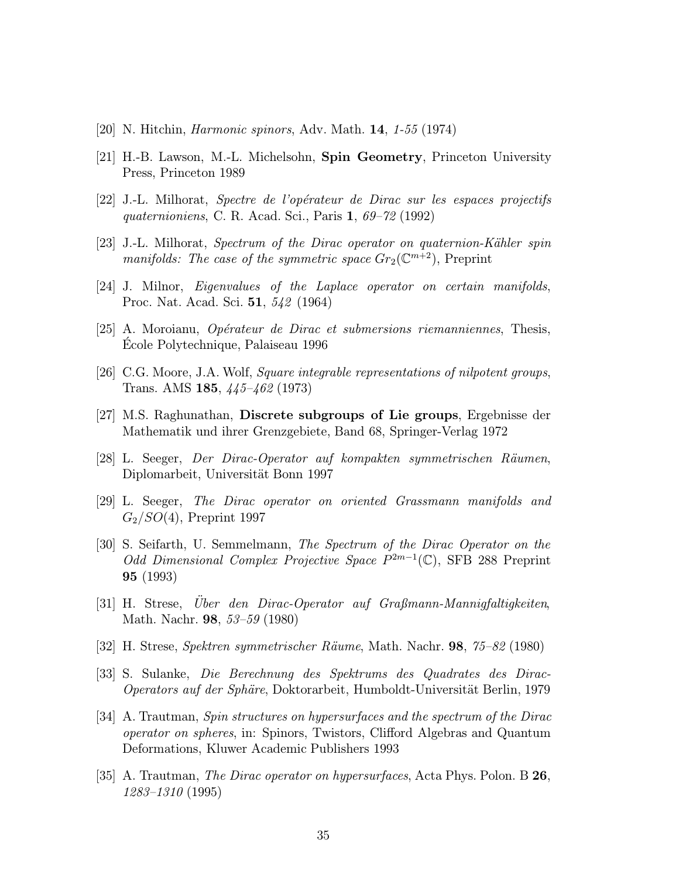- <span id="page-34-0"></span>[20] N. Hitchin, Harmonic spinors, Adv. Math. 14, 1-55 (1974)
- [21] H.-B. Lawson, M.-L. Michelsohn, Spin Geometry, Princeton University Press, Princeton 1989
- $[22]$  J.-L. Milhorat, *Spectre de l'opérateur de Dirac sur les espaces projectifs* quaternioniens, C. R. Acad. Sci., Paris 1, 69–72 (1992)
- [23] J.-L. Milhorat, Spectrum of the Dirac operator on quaternion-Kähler spin manifolds: The case of the symmetric space  $Gr_2(\mathbb{C}^{m+2})$ , Preprint
- [24] J. Milnor, Eigenvalues of the Laplace operator on certain manifolds, Proc. Nat. Acad. Sci. 51, 542 (1964)
- [25] A. Moroianu, *Opérateur de Dirac et submersions riemanniennes*, Thesis, Ecole Polytechnique, Palaiseau 1996 ´
- [26] C.G. Moore, J.A. Wolf, Square integrable representations of nilpotent groups, Trans. AMS 185, 445–462 (1973)
- [27] M.S. Raghunathan, Discrete subgroups of Lie groups, Ergebnisse der Mathematik und ihrer Grenzgebiete, Band 68, Springer-Verlag 1972
- [28] L. Seeger, Der Dirac-Operator auf kompakten symmetrischen R¨aumen, Diplomarbeit, Universität Bonn 1997
- [29] L. Seeger, The Dirac operator on oriented Grassmann manifolds and  $G_2/SO(4)$ , Preprint 1997
- [30] S. Seifarth, U. Semmelmann, The Spectrum of the Dirac Operator on the Odd Dimensional Complex Projective Space  $P^{2m-1}(\mathbb{C})$ , SFB 288 Preprint 95 (1993)
- $[31]$  H. Strese, Uber den Dirac-Operator auf Graßmann-Mannigfaltigkeiten, Math. Nachr. 98, 53–59 (1980)
- [32] H. Strese, Spektren symmetrischer R¨aume, Math. Nachr. 98, 75–82 (1980)
- [33] S. Sulanke, Die Berechnung des Spektrums des Quadrates des Dirac-Operators auf der Sphäre, Doktorarbeit, Humboldt-Universität Berlin, 1979
- [34] A. Trautman, Spin structures on hypersurfaces and the spectrum of the Dirac operator on spheres, in: Spinors, Twistors, Clifford Algebras and Quantum Deformations, Kluwer Academic Publishers 1993
- [35] A. Trautman, The Dirac operator on hypersurfaces, Acta Phys. Polon. B 26, 1283–1310 (1995)